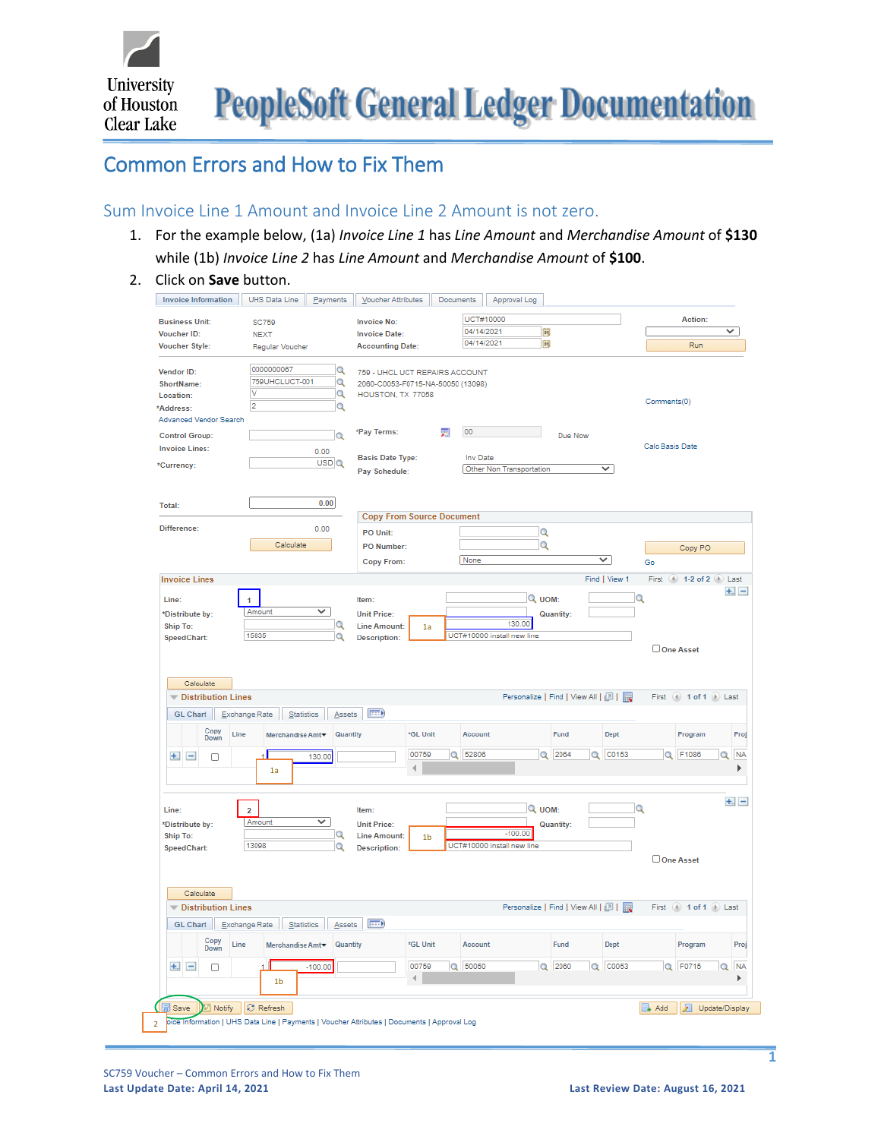University **PeopleSoft General Ledger Documentation** of Houston

# Common Errors and How to Fix Them

# Sum Invoice Line 1 Amount and Invoice Line 2 Amount is not zero.

- 1. For the example below, (1a) *Invoice Line 1* has *Line Amount* and *Merchandise Amount* of **\$130** while (1b) *Invoice Line 2* has *Line Amount* and *Merchandise Amount* of **\$100**.
- 2. Click on **Save** button.

| UCT#10000<br>Action:<br><b>Business Unit:</b><br><b>Invoice No:</b><br><b>SC759</b><br>04/14/2021<br>同<br>V<br><b>Voucher ID:</b><br><b>Invoice Date:</b><br><b>NEXT</b><br>04/14/2021<br>同<br>Run<br><b>Voucher Style:</b><br><b>Accounting Date:</b><br>Regular Voucher<br>0000000067<br>Q<br>759 - UHCL UCT REPAIRS ACCOUNT<br>759UHCLUCT-001<br>Q<br>2060-C0053-F0715-NA-50050 (13098)<br>v<br>$\alpha$<br>HOUSTON, TX 77058<br>Comments(0)<br>$\overline{2}$<br>Q<br>*Pay Terms:<br>00<br>圜<br>Q<br>Due Now<br>Calc Basis Date<br>0.00<br><b>Basis Date Type:</b><br>Inv Date<br>USDQ<br>Other Non Transportation<br>✓<br>Pay Schedule:<br>0.00<br><b>Copy From Source Document</b><br>Difference:<br>0.00<br>$\alpha$<br>PO Unit:<br>Calculate<br>$\alpha$<br><b>PO Number:</b><br>Copy PO<br>↵<br>None<br>Copy From:<br>Go<br>Find   View 1<br>First (4) 1-2 of 2 (1) Last<br>Q<br>Q UOM:<br>Line:<br>$\overline{1}$<br>Item:<br>Amount<br>✓<br>*Distribute by:<br><b>Unit Price:</b><br><b>Quantity:</b><br>130.00<br>Q<br><b>Line Amount:</b><br>1a<br>UCT#10000 install new line<br>15835<br>Q<br>SpeedChart:<br><b>Description:</b><br>One Asset<br>Calculate<br>Personalize   Find   View All   2    <br><b>V</b> Distribution Lines<br>First (4) 1 of 1 (b) Last<br>Exchange Rate<br>Statistics<br>$F = 0$<br>GL Chart<br>Assets<br>Copy<br>*GL Unit<br>Fund<br>Quantity<br>Account<br>Dept<br>Program<br>Line<br>Merchandise Amt<br>Down<br>00759<br>Q 52806<br>Q 2064<br>Q C0153<br>Q F1086<br>$+$ $-$<br>130.00<br>O<br>4<br>1a<br>Q<br>Q UOM:<br>$\overline{a}$<br>Item:<br>▽<br>Amount<br><b>Unit Price:</b><br><b>Quantity:</b><br>$-100.00$<br>Q<br><b>Line Amount:</b><br>1 <sub>b</sub><br>13098<br>UCT#10000 install new line<br>Q<br><b>Description:</b><br>One Asset<br>Calculate<br>Personalize   Find   View All   2    <br><b>Distribution Lines</b><br>First (4) 1 of 1 (1) Last<br>Exchange Rate<br>$F \rightarrow 0$<br>GL Chart<br>Statistics<br>Assets<br>Copy<br>*GL Unit<br>Line<br>Merchandise Amt<br>Quantity<br>Account<br>Fund<br>Dept<br>Program<br>Down<br>Q 50050<br>00759<br>$Q$ 2060<br>Q C0053<br>Q F0715<br>$+$ $-$<br>$-100.00$<br>0<br>4<br>1 <sub>b</sub><br>Notify<br>C Refresh<br>+ Add<br>Update/Display<br>Save<br>oice Information   UHS Data Line   Payments   Voucher Attributes   Documents   Approval Log |                                                            | Payments<br>Voucher Attributes | Documents<br>Approval Log |  |                |
|---------------------------------------------------------------------------------------------------------------------------------------------------------------------------------------------------------------------------------------------------------------------------------------------------------------------------------------------------------------------------------------------------------------------------------------------------------------------------------------------------------------------------------------------------------------------------------------------------------------------------------------------------------------------------------------------------------------------------------------------------------------------------------------------------------------------------------------------------------------------------------------------------------------------------------------------------------------------------------------------------------------------------------------------------------------------------------------------------------------------------------------------------------------------------------------------------------------------------------------------------------------------------------------------------------------------------------------------------------------------------------------------------------------------------------------------------------------------------------------------------------------------------------------------------------------------------------------------------------------------------------------------------------------------------------------------------------------------------------------------------------------------------------------------------------------------------------------------------------------------------------------------------------------------------------------------------------------------------------------------------------------------------------------------------------------------------------------------------------------------------------------------------------------------------------------------------------------------------------------------------------------------------------------------------------------------------------------------------------------------|------------------------------------------------------------|--------------------------------|---------------------------|--|----------------|
|                                                                                                                                                                                                                                                                                                                                                                                                                                                                                                                                                                                                                                                                                                                                                                                                                                                                                                                                                                                                                                                                                                                                                                                                                                                                                                                                                                                                                                                                                                                                                                                                                                                                                                                                                                                                                                                                                                                                                                                                                                                                                                                                                                                                                                                                                                                                                                     |                                                            |                                |                           |  |                |
|                                                                                                                                                                                                                                                                                                                                                                                                                                                                                                                                                                                                                                                                                                                                                                                                                                                                                                                                                                                                                                                                                                                                                                                                                                                                                                                                                                                                                                                                                                                                                                                                                                                                                                                                                                                                                                                                                                                                                                                                                                                                                                                                                                                                                                                                                                                                                                     |                                                            |                                |                           |  |                |
|                                                                                                                                                                                                                                                                                                                                                                                                                                                                                                                                                                                                                                                                                                                                                                                                                                                                                                                                                                                                                                                                                                                                                                                                                                                                                                                                                                                                                                                                                                                                                                                                                                                                                                                                                                                                                                                                                                                                                                                                                                                                                                                                                                                                                                                                                                                                                                     |                                                            |                                |                           |  |                |
|                                                                                                                                                                                                                                                                                                                                                                                                                                                                                                                                                                                                                                                                                                                                                                                                                                                                                                                                                                                                                                                                                                                                                                                                                                                                                                                                                                                                                                                                                                                                                                                                                                                                                                                                                                                                                                                                                                                                                                                                                                                                                                                                                                                                                                                                                                                                                                     |                                                            |                                |                           |  |                |
|                                                                                                                                                                                                                                                                                                                                                                                                                                                                                                                                                                                                                                                                                                                                                                                                                                                                                                                                                                                                                                                                                                                                                                                                                                                                                                                                                                                                                                                                                                                                                                                                                                                                                                                                                                                                                                                                                                                                                                                                                                                                                                                                                                                                                                                                                                                                                                     | Vendor ID:                                                 |                                |                           |  |                |
|                                                                                                                                                                                                                                                                                                                                                                                                                                                                                                                                                                                                                                                                                                                                                                                                                                                                                                                                                                                                                                                                                                                                                                                                                                                                                                                                                                                                                                                                                                                                                                                                                                                                                                                                                                                                                                                                                                                                                                                                                                                                                                                                                                                                                                                                                                                                                                     | ShortName:                                                 |                                |                           |  |                |
|                                                                                                                                                                                                                                                                                                                                                                                                                                                                                                                                                                                                                                                                                                                                                                                                                                                                                                                                                                                                                                                                                                                                                                                                                                                                                                                                                                                                                                                                                                                                                                                                                                                                                                                                                                                                                                                                                                                                                                                                                                                                                                                                                                                                                                                                                                                                                                     | Location:                                                  |                                |                           |  |                |
|                                                                                                                                                                                                                                                                                                                                                                                                                                                                                                                                                                                                                                                                                                                                                                                                                                                                                                                                                                                                                                                                                                                                                                                                                                                                                                                                                                                                                                                                                                                                                                                                                                                                                                                                                                                                                                                                                                                                                                                                                                                                                                                                                                                                                                                                                                                                                                     | *Address:                                                  |                                |                           |  |                |
|                                                                                                                                                                                                                                                                                                                                                                                                                                                                                                                                                                                                                                                                                                                                                                                                                                                                                                                                                                                                                                                                                                                                                                                                                                                                                                                                                                                                                                                                                                                                                                                                                                                                                                                                                                                                                                                                                                                                                                                                                                                                                                                                                                                                                                                                                                                                                                     | Advanced Vendor Search                                     |                                |                           |  |                |
|                                                                                                                                                                                                                                                                                                                                                                                                                                                                                                                                                                                                                                                                                                                                                                                                                                                                                                                                                                                                                                                                                                                                                                                                                                                                                                                                                                                                                                                                                                                                                                                                                                                                                                                                                                                                                                                                                                                                                                                                                                                                                                                                                                                                                                                                                                                                                                     | <b>Control Group:</b>                                      |                                |                           |  |                |
|                                                                                                                                                                                                                                                                                                                                                                                                                                                                                                                                                                                                                                                                                                                                                                                                                                                                                                                                                                                                                                                                                                                                                                                                                                                                                                                                                                                                                                                                                                                                                                                                                                                                                                                                                                                                                                                                                                                                                                                                                                                                                                                                                                                                                                                                                                                                                                     | <b>Invoice Lines:</b>                                      |                                |                           |  |                |
|                                                                                                                                                                                                                                                                                                                                                                                                                                                                                                                                                                                                                                                                                                                                                                                                                                                                                                                                                                                                                                                                                                                                                                                                                                                                                                                                                                                                                                                                                                                                                                                                                                                                                                                                                                                                                                                                                                                                                                                                                                                                                                                                                                                                                                                                                                                                                                     | *Currency:                                                 |                                |                           |  |                |
|                                                                                                                                                                                                                                                                                                                                                                                                                                                                                                                                                                                                                                                                                                                                                                                                                                                                                                                                                                                                                                                                                                                                                                                                                                                                                                                                                                                                                                                                                                                                                                                                                                                                                                                                                                                                                                                                                                                                                                                                                                                                                                                                                                                                                                                                                                                                                                     |                                                            |                                |                           |  |                |
|                                                                                                                                                                                                                                                                                                                                                                                                                                                                                                                                                                                                                                                                                                                                                                                                                                                                                                                                                                                                                                                                                                                                                                                                                                                                                                                                                                                                                                                                                                                                                                                                                                                                                                                                                                                                                                                                                                                                                                                                                                                                                                                                                                                                                                                                                                                                                                     | Total:                                                     |                                |                           |  |                |
|                                                                                                                                                                                                                                                                                                                                                                                                                                                                                                                                                                                                                                                                                                                                                                                                                                                                                                                                                                                                                                                                                                                                                                                                                                                                                                                                                                                                                                                                                                                                                                                                                                                                                                                                                                                                                                                                                                                                                                                                                                                                                                                                                                                                                                                                                                                                                                     |                                                            |                                |                           |  |                |
|                                                                                                                                                                                                                                                                                                                                                                                                                                                                                                                                                                                                                                                                                                                                                                                                                                                                                                                                                                                                                                                                                                                                                                                                                                                                                                                                                                                                                                                                                                                                                                                                                                                                                                                                                                                                                                                                                                                                                                                                                                                                                                                                                                                                                                                                                                                                                                     |                                                            |                                |                           |  |                |
|                                                                                                                                                                                                                                                                                                                                                                                                                                                                                                                                                                                                                                                                                                                                                                                                                                                                                                                                                                                                                                                                                                                                                                                                                                                                                                                                                                                                                                                                                                                                                                                                                                                                                                                                                                                                                                                                                                                                                                                                                                                                                                                                                                                                                                                                                                                                                                     |                                                            |                                |                           |  |                |
|                                                                                                                                                                                                                                                                                                                                                                                                                                                                                                                                                                                                                                                                                                                                                                                                                                                                                                                                                                                                                                                                                                                                                                                                                                                                                                                                                                                                                                                                                                                                                                                                                                                                                                                                                                                                                                                                                                                                                                                                                                                                                                                                                                                                                                                                                                                                                                     |                                                            |                                |                           |  |                |
|                                                                                                                                                                                                                                                                                                                                                                                                                                                                                                                                                                                                                                                                                                                                                                                                                                                                                                                                                                                                                                                                                                                                                                                                                                                                                                                                                                                                                                                                                                                                                                                                                                                                                                                                                                                                                                                                                                                                                                                                                                                                                                                                                                                                                                                                                                                                                                     | <b>Invoice Lines</b>                                       |                                |                           |  |                |
|                                                                                                                                                                                                                                                                                                                                                                                                                                                                                                                                                                                                                                                                                                                                                                                                                                                                                                                                                                                                                                                                                                                                                                                                                                                                                                                                                                                                                                                                                                                                                                                                                                                                                                                                                                                                                                                                                                                                                                                                                                                                                                                                                                                                                                                                                                                                                                     |                                                            |                                |                           |  | $+1 -$         |
|                                                                                                                                                                                                                                                                                                                                                                                                                                                                                                                                                                                                                                                                                                                                                                                                                                                                                                                                                                                                                                                                                                                                                                                                                                                                                                                                                                                                                                                                                                                                                                                                                                                                                                                                                                                                                                                                                                                                                                                                                                                                                                                                                                                                                                                                                                                                                                     |                                                            |                                |                           |  |                |
|                                                                                                                                                                                                                                                                                                                                                                                                                                                                                                                                                                                                                                                                                                                                                                                                                                                                                                                                                                                                                                                                                                                                                                                                                                                                                                                                                                                                                                                                                                                                                                                                                                                                                                                                                                                                                                                                                                                                                                                                                                                                                                                                                                                                                                                                                                                                                                     |                                                            |                                |                           |  |                |
|                                                                                                                                                                                                                                                                                                                                                                                                                                                                                                                                                                                                                                                                                                                                                                                                                                                                                                                                                                                                                                                                                                                                                                                                                                                                                                                                                                                                                                                                                                                                                                                                                                                                                                                                                                                                                                                                                                                                                                                                                                                                                                                                                                                                                                                                                                                                                                     | Ship To:                                                   |                                |                           |  |                |
|                                                                                                                                                                                                                                                                                                                                                                                                                                                                                                                                                                                                                                                                                                                                                                                                                                                                                                                                                                                                                                                                                                                                                                                                                                                                                                                                                                                                                                                                                                                                                                                                                                                                                                                                                                                                                                                                                                                                                                                                                                                                                                                                                                                                                                                                                                                                                                     |                                                            |                                |                           |  |                |
|                                                                                                                                                                                                                                                                                                                                                                                                                                                                                                                                                                                                                                                                                                                                                                                                                                                                                                                                                                                                                                                                                                                                                                                                                                                                                                                                                                                                                                                                                                                                                                                                                                                                                                                                                                                                                                                                                                                                                                                                                                                                                                                                                                                                                                                                                                                                                                     |                                                            |                                |                           |  |                |
|                                                                                                                                                                                                                                                                                                                                                                                                                                                                                                                                                                                                                                                                                                                                                                                                                                                                                                                                                                                                                                                                                                                                                                                                                                                                                                                                                                                                                                                                                                                                                                                                                                                                                                                                                                                                                                                                                                                                                                                                                                                                                                                                                                                                                                                                                                                                                                     |                                                            |                                |                           |  |                |
|                                                                                                                                                                                                                                                                                                                                                                                                                                                                                                                                                                                                                                                                                                                                                                                                                                                                                                                                                                                                                                                                                                                                                                                                                                                                                                                                                                                                                                                                                                                                                                                                                                                                                                                                                                                                                                                                                                                                                                                                                                                                                                                                                                                                                                                                                                                                                                     |                                                            |                                |                           |  | Proj           |
|                                                                                                                                                                                                                                                                                                                                                                                                                                                                                                                                                                                                                                                                                                                                                                                                                                                                                                                                                                                                                                                                                                                                                                                                                                                                                                                                                                                                                                                                                                                                                                                                                                                                                                                                                                                                                                                                                                                                                                                                                                                                                                                                                                                                                                                                                                                                                                     |                                                            |                                |                           |  | Q NA           |
|                                                                                                                                                                                                                                                                                                                                                                                                                                                                                                                                                                                                                                                                                                                                                                                                                                                                                                                                                                                                                                                                                                                                                                                                                                                                                                                                                                                                                                                                                                                                                                                                                                                                                                                                                                                                                                                                                                                                                                                                                                                                                                                                                                                                                                                                                                                                                                     |                                                            |                                |                           |  |                |
|                                                                                                                                                                                                                                                                                                                                                                                                                                                                                                                                                                                                                                                                                                                                                                                                                                                                                                                                                                                                                                                                                                                                                                                                                                                                                                                                                                                                                                                                                                                                                                                                                                                                                                                                                                                                                                                                                                                                                                                                                                                                                                                                                                                                                                                                                                                                                                     |                                                            |                                |                           |  |                |
|                                                                                                                                                                                                                                                                                                                                                                                                                                                                                                                                                                                                                                                                                                                                                                                                                                                                                                                                                                                                                                                                                                                                                                                                                                                                                                                                                                                                                                                                                                                                                                                                                                                                                                                                                                                                                                                                                                                                                                                                                                                                                                                                                                                                                                                                                                                                                                     |                                                            |                                |                           |  |                |
|                                                                                                                                                                                                                                                                                                                                                                                                                                                                                                                                                                                                                                                                                                                                                                                                                                                                                                                                                                                                                                                                                                                                                                                                                                                                                                                                                                                                                                                                                                                                                                                                                                                                                                                                                                                                                                                                                                                                                                                                                                                                                                                                                                                                                                                                                                                                                                     |                                                            |                                |                           |  |                |
|                                                                                                                                                                                                                                                                                                                                                                                                                                                                                                                                                                                                                                                                                                                                                                                                                                                                                                                                                                                                                                                                                                                                                                                                                                                                                                                                                                                                                                                                                                                                                                                                                                                                                                                                                                                                                                                                                                                                                                                                                                                                                                                                                                                                                                                                                                                                                                     |                                                            |                                |                           |  |                |
|                                                                                                                                                                                                                                                                                                                                                                                                                                                                                                                                                                                                                                                                                                                                                                                                                                                                                                                                                                                                                                                                                                                                                                                                                                                                                                                                                                                                                                                                                                                                                                                                                                                                                                                                                                                                                                                                                                                                                                                                                                                                                                                                                                                                                                                                                                                                                                     |                                                            |                                |                           |  |                |
|                                                                                                                                                                                                                                                                                                                                                                                                                                                                                                                                                                                                                                                                                                                                                                                                                                                                                                                                                                                                                                                                                                                                                                                                                                                                                                                                                                                                                                                                                                                                                                                                                                                                                                                                                                                                                                                                                                                                                                                                                                                                                                                                                                                                                                                                                                                                                                     |                                                            |                                |                           |  |                |
|                                                                                                                                                                                                                                                                                                                                                                                                                                                                                                                                                                                                                                                                                                                                                                                                                                                                                                                                                                                                                                                                                                                                                                                                                                                                                                                                                                                                                                                                                                                                                                                                                                                                                                                                                                                                                                                                                                                                                                                                                                                                                                                                                                                                                                                                                                                                                                     |                                                            |                                |                           |  |                |
|                                                                                                                                                                                                                                                                                                                                                                                                                                                                                                                                                                                                                                                                                                                                                                                                                                                                                                                                                                                                                                                                                                                                                                                                                                                                                                                                                                                                                                                                                                                                                                                                                                                                                                                                                                                                                                                                                                                                                                                                                                                                                                                                                                                                                                                                                                                                                                     |                                                            |                                |                           |  |                |
|                                                                                                                                                                                                                                                                                                                                                                                                                                                                                                                                                                                                                                                                                                                                                                                                                                                                                                                                                                                                                                                                                                                                                                                                                                                                                                                                                                                                                                                                                                                                                                                                                                                                                                                                                                                                                                                                                                                                                                                                                                                                                                                                                                                                                                                                                                                                                                     |                                                            |                                |                           |  |                |
|                                                                                                                                                                                                                                                                                                                                                                                                                                                                                                                                                                                                                                                                                                                                                                                                                                                                                                                                                                                                                                                                                                                                                                                                                                                                                                                                                                                                                                                                                                                                                                                                                                                                                                                                                                                                                                                                                                                                                                                                                                                                                                                                                                                                                                                                                                                                                                     |                                                            |                                |                           |  |                |
|                                                                                                                                                                                                                                                                                                                                                                                                                                                                                                                                                                                                                                                                                                                                                                                                                                                                                                                                                                                                                                                                                                                                                                                                                                                                                                                                                                                                                                                                                                                                                                                                                                                                                                                                                                                                                                                                                                                                                                                                                                                                                                                                                                                                                                                                                                                                                                     |                                                            |                                |                           |  |                |
|                                                                                                                                                                                                                                                                                                                                                                                                                                                                                                                                                                                                                                                                                                                                                                                                                                                                                                                                                                                                                                                                                                                                                                                                                                                                                                                                                                                                                                                                                                                                                                                                                                                                                                                                                                                                                                                                                                                                                                                                                                                                                                                                                                                                                                                                                                                                                                     | Line:<br>*Distribute by:<br><b>Ship To:</b><br>SpeedChart: |                                |                           |  | $+1 -$<br>Proj |
|                                                                                                                                                                                                                                                                                                                                                                                                                                                                                                                                                                                                                                                                                                                                                                                                                                                                                                                                                                                                                                                                                                                                                                                                                                                                                                                                                                                                                                                                                                                                                                                                                                                                                                                                                                                                                                                                                                                                                                                                                                                                                                                                                                                                                                                                                                                                                                     |                                                            |                                |                           |  | Q NA           |
|                                                                                                                                                                                                                                                                                                                                                                                                                                                                                                                                                                                                                                                                                                                                                                                                                                                                                                                                                                                                                                                                                                                                                                                                                                                                                                                                                                                                                                                                                                                                                                                                                                                                                                                                                                                                                                                                                                                                                                                                                                                                                                                                                                                                                                                                                                                                                                     |                                                            |                                |                           |  | Þ              |
|                                                                                                                                                                                                                                                                                                                                                                                                                                                                                                                                                                                                                                                                                                                                                                                                                                                                                                                                                                                                                                                                                                                                                                                                                                                                                                                                                                                                                                                                                                                                                                                                                                                                                                                                                                                                                                                                                                                                                                                                                                                                                                                                                                                                                                                                                                                                                                     |                                                            |                                |                           |  |                |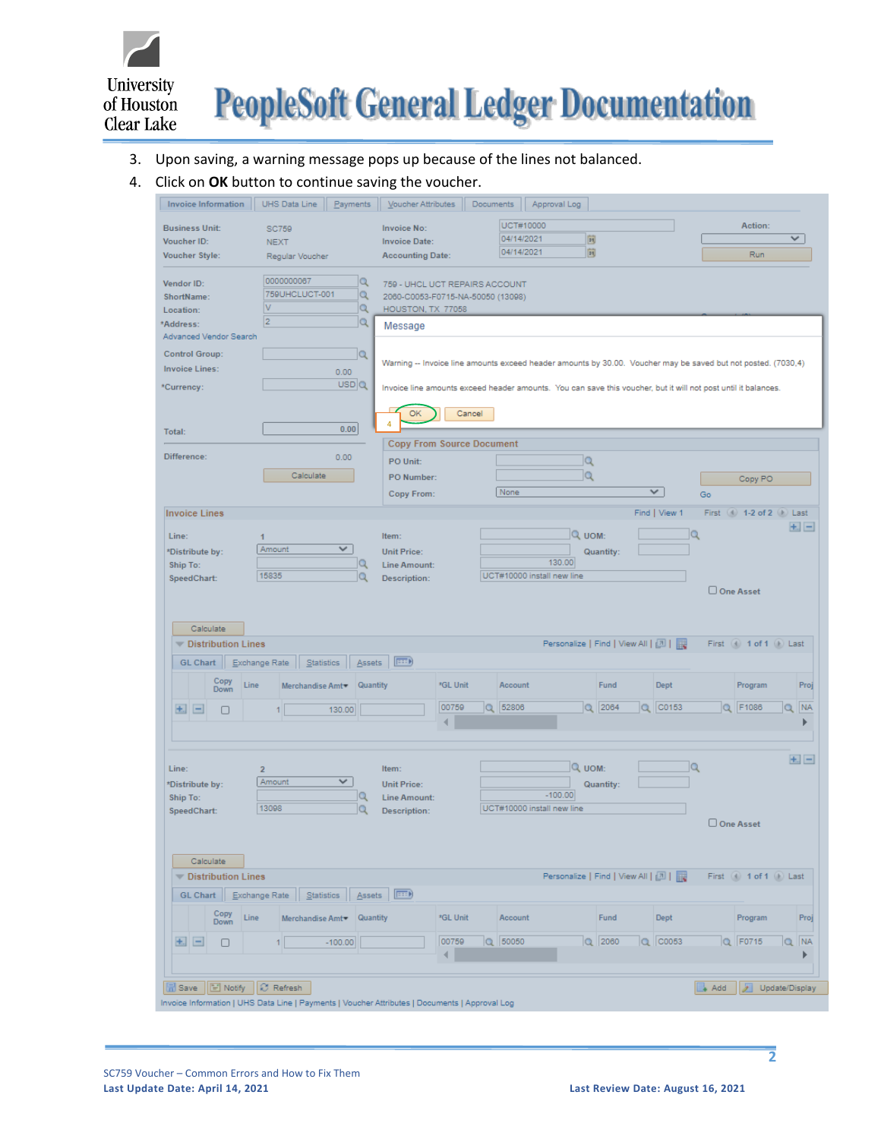

#### 3. Upon saving, a warning message pops up because of the lines not balanced.

#### 4. Click on **OK** button to continue saving the voucher.

| <b>Invoice Information</b> | UHS Data Line               | Payments                  | Voucher Attributes                                                                                             | Documents | Approval Log                         |          |                                     |               |                    |                             |                |
|----------------------------|-----------------------------|---------------------------|----------------------------------------------------------------------------------------------------------------|-----------|--------------------------------------|----------|-------------------------------------|---------------|--------------------|-----------------------------|----------------|
| <b>Business Unit:</b>      |                             |                           | <b>Invoice No:</b>                                                                                             |           | UCT#10000                            |          |                                     |               |                    | Action:                     |                |
| Voucher ID:                | <b>SC759</b><br><b>NEXT</b> |                           | <b>Invoice Date:</b>                                                                                           |           | 04/14/2021                           | 同        |                                     |               |                    |                             | ✓              |
| Voucher Style:             | Regular Voucher             |                           | <b>Accounting Date:</b>                                                                                        |           | 04/14/2021                           | 同        |                                     |               |                    | Run                         |                |
|                            |                             |                           |                                                                                                                |           |                                      |          |                                     |               |                    |                             |                |
| Vendor ID:                 | 0000000067                  | Q                         | 759 - UHCL UCT REPAIRS ACCOUNT                                                                                 |           |                                      |          |                                     |               |                    |                             |                |
| ShortName:                 | 759UHCLUCT-001              | Q                         | 2060-C0053-F0715-NA-50050 (13098)                                                                              |           |                                      |          |                                     |               |                    |                             |                |
| Location:                  | V                           | $\alpha$                  | HOUSTON, TX 77058                                                                                              |           |                                      |          |                                     |               |                    |                             |                |
| *Address:                  | $\overline{2}$              | $\alpha$                  | Message                                                                                                        |           |                                      |          |                                     |               |                    |                             |                |
| Advanced Vendor Search     |                             |                           |                                                                                                                |           |                                      |          |                                     |               |                    |                             |                |
| <b>Control Group:</b>      |                             | Q                         | Warning -- Invoice line amounts exceed header amounts by 30.00. Voucher may be saved but not posted. (7030,4)  |           |                                      |          |                                     |               |                    |                             |                |
| <b>Invoice Lines:</b>      |                             | 0.00                      |                                                                                                                |           |                                      |          |                                     |               |                    |                             |                |
| *Currency:                 |                             | USDQ                      | Invoice line amounts exceed header amounts. You can save this voucher, but it will not post until it balances. |           |                                      |          |                                     |               |                    |                             |                |
|                            |                             |                           |                                                                                                                |           |                                      |          |                                     |               |                    |                             |                |
|                            |                             |                           | <b>OK</b><br>4                                                                                                 | Cancel    |                                      |          |                                     |               |                    |                             |                |
| Total:                     |                             | 0.00                      |                                                                                                                |           |                                      |          |                                     |               |                    |                             |                |
|                            |                             |                           | <b>Copy From Source Document</b>                                                                               |           |                                      |          |                                     |               |                    |                             |                |
| Difference:                |                             | 0.00                      | PO Unit:                                                                                                       |           |                                      | Q        |                                     |               |                    |                             |                |
|                            | Calculate                   |                           | PO Number:                                                                                                     |           |                                      | $\alpha$ |                                     |               |                    | Copy PO                     |                |
|                            |                             |                           | Copy From:                                                                                                     |           | None                                 |          |                                     | ✓             | Go                 |                             |                |
| <b>Invoice Lines</b>       |                             |                           |                                                                                                                |           |                                      |          |                                     | Find   View 1 |                    | First (4) 1-2 of 2 (1) Last |                |
|                            |                             |                           |                                                                                                                |           |                                      |          |                                     |               |                    |                             | $+1$ $-$       |
| Line:                      |                             |                           | Item:                                                                                                          |           |                                      | Q UOM:   |                                     |               |                    |                             |                |
| *Distribute by:            | Amount                      | $\checkmark$              | <b>Unit Price:</b>                                                                                             |           |                                      |          | Quantity:                           |               |                    |                             |                |
| Ship To:                   | 15835                       | Q<br>Q                    | <b>Line Amount:</b>                                                                                            |           | 130.00<br>UCT#10000 install new line |          |                                     |               |                    |                             |                |
| SpeedChart:                |                             |                           | Description:                                                                                                   |           |                                      |          |                                     |               |                    | □ One Asset                 |                |
|                            |                             |                           |                                                                                                                |           |                                      |          |                                     |               |                    |                             |                |
|                            |                             |                           |                                                                                                                |           |                                      |          |                                     |               |                    |                             |                |
|                            |                             |                           |                                                                                                                |           |                                      |          |                                     |               |                    |                             |                |
| Calculate                  |                             |                           |                                                                                                                |           |                                      |          |                                     |               |                    |                             |                |
| <b>Distribution Lines</b>  |                             |                           |                                                                                                                |           |                                      |          | Personalize   Find   View All   [7] |               |                    | First (4) 1 of 1 (b) Last   |                |
| GL Chart                   | Statistics<br>Exchange Rate | <b>Assets</b>             | $\ket{\overline{z}}$                                                                                           |           |                                      |          |                                     |               |                    |                             |                |
| Copy                       |                             |                           |                                                                                                                |           |                                      |          |                                     |               |                    |                             |                |
| Line<br>Down               |                             | Merchandise Amt VQuantity | *GL Unit                                                                                                       |           | Account                              |          | Fund                                | <b>Dept</b>   |                    | Program                     | Proj           |
| $+$<br>П                   | 11                          | 130.00                    | 00759                                                                                                          |           | Q 52806                              |          | Q 2064                              | Q C0153       |                    | Q F1086                     | NA<br>$\alpha$ |
|                            |                             |                           | ∢                                                                                                              |           |                                      |          |                                     |               |                    |                             |                |
|                            |                             |                           |                                                                                                                |           |                                      |          |                                     |               |                    |                             |                |
|                            |                             |                           |                                                                                                                |           |                                      |          |                                     |               |                    |                             | $+1$ $-$       |
| Line:                      | $\overline{2}$              |                           | Item:                                                                                                          |           |                                      | Q UOM:   |                                     | lQ            |                    |                             |                |
| *Distribute by:            | Amount                      | V                         | <b>Unit Price:</b>                                                                                             |           |                                      |          | Quantity:                           |               |                    |                             |                |
| Ship To:                   | 13098                       | Q                         | Line Amount:                                                                                                   |           | $-100.00$                            |          |                                     |               |                    |                             |                |
| SpeedChart:                |                             | Q                         | <b>Description:</b>                                                                                            |           | UCT#10000 install new line           |          |                                     |               |                    | □ One Asset                 |                |
|                            |                             |                           |                                                                                                                |           |                                      |          |                                     |               |                    |                             |                |
|                            |                             |                           |                                                                                                                |           |                                      |          |                                     |               |                    |                             |                |
| Calculate                  |                             |                           |                                                                                                                |           |                                      |          |                                     |               |                    |                             |                |
| Distribution Lines         |                             |                           |                                                                                                                |           |                                      |          | Personalize   Find   View All       |               |                    | First (4) 1 of 1 (b) Last   |                |
| GL Chart   Exchange Rate   |                             | Statistics   Assets       | $F \rightarrow F$                                                                                              |           |                                      |          |                                     |               |                    |                             |                |
| Copy                       |                             |                           |                                                                                                                |           |                                      |          |                                     |               |                    |                             |                |
| Line<br>Down               |                             | Merchandise Amt Vauantity | *GL Unit                                                                                                       |           | Account                              |          | Fund                                | Dept          |                    | Program                     | Proj           |
| $\pm$ $\pm$<br>0           | 1                           | $-100.00$                 | 00759                                                                                                          |           | $Q$ 50050                            |          | $Q$ 2060                            | $Q$ $ CO053$  |                    | $Q$ F0715                   | Q NA           |
|                            |                             |                           | ∢                                                                                                              |           |                                      |          |                                     |               |                    |                             |                |
|                            |                             |                           |                                                                                                                |           |                                      |          |                                     |               |                    |                             |                |
| F Notify<br><b>品</b> Save  | C Refresh                   |                           |                                                                                                                |           |                                      |          |                                     |               | $\overline{A}$ Add | Update/Display              |                |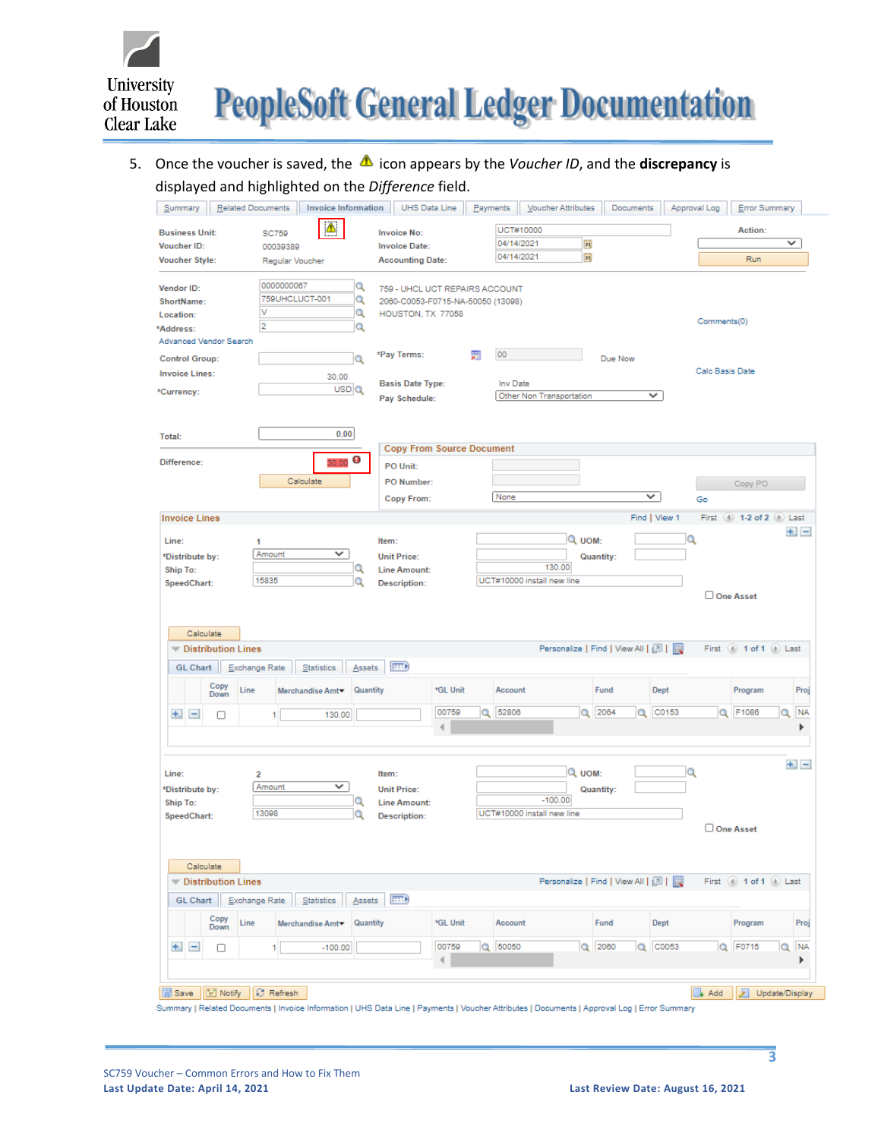

# 5. Once the voucher is saved, the **1** icon appears by the *Voucher ID*, and the **discrepancy** is displayed and highlighted on the *Difference* field.

|                                                     |                                            | <b>Related Documents</b>          | <b>Invoice Information</b>  |                                                                                          | UHS Data Line | Payments |            | Voucher Attributes                                | Documents        |               | Approval Log      | Error Summary               |           |
|-----------------------------------------------------|--------------------------------------------|-----------------------------------|-----------------------------|------------------------------------------------------------------------------------------|---------------|----------|------------|---------------------------------------------------|------------------|---------------|-------------------|-----------------------------|-----------|
| <b>Business Unit:</b>                               |                                            | <b>SC759</b>                      |                             | <b>Invoice No:</b>                                                                       |               |          | UCT#10000  |                                                   |                  |               |                   | Action:                     |           |
| Voucher ID:                                         |                                            | 00039389                          |                             | <b>Invoice Date:</b>                                                                     |               |          | 04/14/2021 | Þij                                               |                  |               |                   |                             | v         |
| <b>Voucher Style:</b>                               |                                            | Regular Voucher                   |                             | <b>Accounting Date:</b>                                                                  |               |          | 04/14/2021 | 同                                                 |                  |               |                   | Run                         |           |
|                                                     |                                            |                                   |                             |                                                                                          |               |          |            |                                                   |                  |               |                   |                             |           |
| Vendor ID:<br>ShortName:<br>Location:               |                                            | 0000000067<br>759UHCLUCT-001<br>٧ | Q<br>Q<br>Q                 | 759 - UHCL UCT REPAIRS ACCOUNT<br>2060-C0053-F0715-NA-50050 (13098)<br>HOUSTON, TX 77058 |               |          |            |                                                   |                  |               |                   |                             |           |
| *Address:                                           |                                            | $\overline{2}$                    | Q                           |                                                                                          |               |          |            |                                                   |                  |               | Comments(0)       |                             |           |
| Advanced Vendor Search                              |                                            |                                   |                             |                                                                                          |               |          |            |                                                   |                  |               |                   |                             |           |
| <b>Control Group:</b>                               |                                            |                                   | Q                           | *Pay Terms:                                                                              |               | 蘏        | 00         |                                                   | Due Now          |               |                   |                             |           |
| <b>Invoice Lines:</b>                               |                                            |                                   | 30.00                       |                                                                                          |               |          |            |                                                   |                  |               | Calc Basis Date   |                             |           |
| *Currency:                                          |                                            |                                   | USD Q                       | <b>Basis Date Type:</b>                                                                  |               |          | Inv Date   | Other Non Transportation                          |                  | v             |                   |                             |           |
|                                                     |                                            |                                   |                             | Pay Schedule:                                                                            |               |          |            |                                                   |                  |               |                   |                             |           |
| Total:                                              |                                            |                                   | 0.00                        | <b>Copy From Source Document</b>                                                         |               |          |            |                                                   |                  |               |                   |                             |           |
| Difference:                                         |                                            |                                   | Θ<br>30.00                  | PO Unit:                                                                                 |               |          |            |                                                   |                  |               |                   |                             |           |
|                                                     |                                            |                                   | Calculate                   | PO Number:                                                                               |               |          |            |                                                   |                  |               |                   | Copy PO                     |           |
|                                                     |                                            |                                   |                             | Copy From:                                                                               |               |          | None       |                                                   |                  | ✓             | Go                |                             |           |
| <b>Invoice Lines</b>                                |                                            |                                   |                             |                                                                                          |               |          |            |                                                   |                  | Find   View 1 |                   | First (4) 1-2 of 2 (1) Last |           |
|                                                     |                                            |                                   |                             |                                                                                          |               |          |            |                                                   |                  |               |                   |                             | $+1 -$    |
| Line:                                               |                                            | 1                                 |                             | Item:                                                                                    |               |          |            | Q UOM:                                            |                  |               | O                 |                             |           |
| *Distribute by:                                     |                                            | Amount                            | v                           | <b>Unit Price:</b>                                                                       |               |          |            |                                                   | <b>Quantity:</b> |               |                   |                             |           |
| Ship To:                                            |                                            | 15835                             | Q<br>Q                      | <b>Line Amount:</b>                                                                      |               |          |            | 130.00<br>UCT#10000 install new line              |                  |               |                   |                             |           |
| SpeedChart:                                         |                                            |                                   |                             | <b>Description:</b>                                                                      |               |          |            |                                                   |                  |               |                   | One Asset                   |           |
|                                                     |                                            |                                   |                             |                                                                                          |               |          |            |                                                   |                  |               |                   |                             |           |
| Calculate<br><b>GL Chart</b>                        | <b>Distribution Lines</b><br>Exchange Rate |                                   | Statistics<br>Assets        | $\ket{***}$                                                                              |               |          |            | Personalize   Find   View All   [3]               |                  |               |                   | First (4) 1 of 1 (1) Last   |           |
|                                                     | Copy<br>Line<br>Down                       |                                   | Quantity<br>Merchandise Amt |                                                                                          | *GL Unit      |          | Account    |                                                   | Fund             | <b>Dept</b>   |                   | Program                     | Proj      |
|                                                     |                                            |                                   |                             |                                                                                          | 00759         | Q        | 52806      |                                                   | Q 2064           | C0153<br>Q    |                   | Q F1086<br>Q                | <b>NA</b> |
| $+$ .<br>$\qquad \qquad \blacksquare$               | п                                          |                                   | 130.00                      |                                                                                          | ∢             |          |            |                                                   |                  |               |                   |                             |           |
|                                                     |                                            |                                   |                             |                                                                                          |               |          |            |                                                   |                  |               |                   |                             |           |
| Line:<br>*Distribute by:<br>Ship To:<br>SpeedChart: |                                            | 2<br>Amount<br>13098              | ✓<br>Q<br>Q                 | Item:<br><b>Unit Price:</b><br><b>Line Amount:</b><br><b>Description:</b>                |               |          |            | Q UOM:<br>$-100.00$<br>UCT#10000 install new line | Quantity:        |               | Q                 |                             | $+$ . $-$ |
|                                                     |                                            |                                   |                             |                                                                                          |               |          |            |                                                   |                  |               |                   | One Asset                   |           |
|                                                     |                                            |                                   |                             |                                                                                          |               |          |            |                                                   |                  |               |                   |                             |           |
|                                                     |                                            |                                   |                             |                                                                                          |               |          |            |                                                   |                  |               |                   |                             |           |
| Calculate                                           |                                            |                                   |                             |                                                                                          |               |          |            |                                                   |                  |               |                   | First (4) 1 of 1 (b) Last   |           |
|                                                     | <b>Distribution Lines</b>                  |                                   |                             |                                                                                          |               |          |            | Personalize   Find   View All   [7]               |                  |               |                   |                             |           |
| <b>GL Chart</b>                                     | Exchange Rate                              |                                   | Statistics<br>Assets        | $\ket{m}$                                                                                |               |          |            |                                                   |                  |               |                   |                             |           |
|                                                     | Copy<br>Line<br><b>Down</b>                |                                   | Quantity<br>Merchandise Amt |                                                                                          | *GL Unit      |          | Account    |                                                   | Fund             | Dept          |                   | Program                     | Proj      |
| $\equiv$                                            |                                            | 1                                 | $-100.00$                   |                                                                                          | 00759         |          | Q 50050    |                                                   | $Q$ 2060         | Q C0053       |                   | Q F0715<br>Q                | <b>NA</b> |
| $+$ .                                               | O                                          |                                   |                             |                                                                                          | ∢             |          |            |                                                   |                  |               |                   |                             | Þ         |
|                                                     |                                            |                                   |                             |                                                                                          |               |          |            |                                                   |                  |               |                   |                             |           |
| <b>品</b> Save                                       | E Notify                                   | C Refresh                         |                             |                                                                                          |               |          |            |                                                   |                  |               | $\rightarrow$ Add | ⊁∣<br>Update/Display        |           |

**3**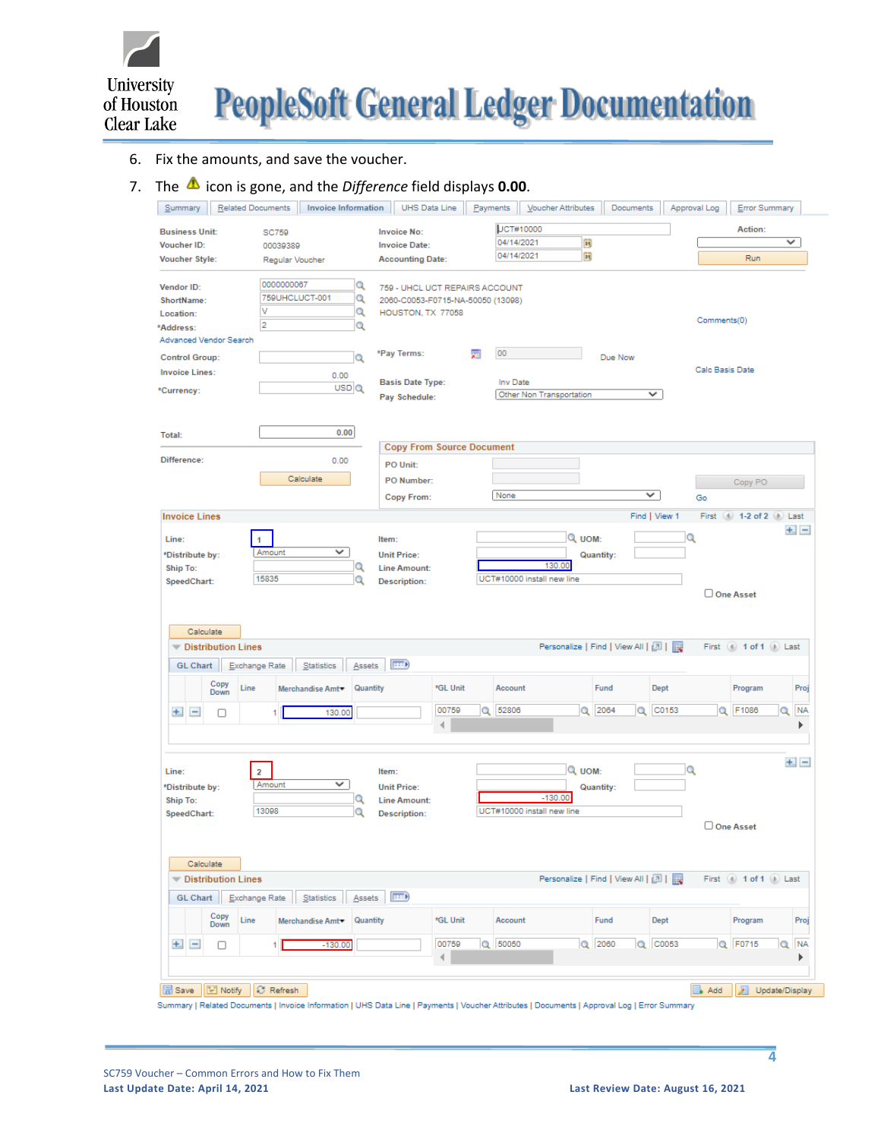

## 6. Fix the amounts, and save the voucher.

# 7. The **1** icon is gone, and the *Difference* field displays **0.00**.

| Summary                      | <b>Related Documents</b>  |                         | <b>Invoice Information</b>   |                                   | UHS Data Line | Payments |                  | Voucher Attributes                    |           | Documents     |   | Approval Log    | Error Summary               |                |
|------------------------------|---------------------------|-------------------------|------------------------------|-----------------------------------|---------------|----------|------------------|---------------------------------------|-----------|---------------|---|-----------------|-----------------------------|----------------|
| <b>Business Unit:</b>        |                           | <b>SC759</b>            |                              | <b>Invoice No:</b>                |               |          | <b>JCT#10000</b> |                                       |           |               |   |                 | Action:                     |                |
| Voucher ID:                  |                           | 00039389                |                              | <b>Invoice Date:</b>              |               |          | 04/14/2021       | 同                                     |           |               |   |                 |                             | $\checkmark$   |
| <b>Voucher Style:</b>        |                           | Regular Voucher         |                              | <b>Accounting Date:</b>           |               |          | 04/14/2021       | 同                                     |           |               |   |                 | Run                         |                |
|                              |                           |                         |                              |                                   |               |          |                  |                                       |           |               |   |                 |                             |                |
| Vendor ID:                   |                           | 0000000067              | Q                            | 759 - UHCL UCT REPAIRS ACCOUNT    |               |          |                  |                                       |           |               |   |                 |                             |                |
| ShortName:                   |                           | 759UHCLUCT-001          | Q                            | 2060-C0053-F0715-NA-50050 (13098) |               |          |                  |                                       |           |               |   |                 |                             |                |
| Location:                    |                           | v                       | Q                            | HOUSTON, TX 77058                 |               |          |                  |                                       |           |               |   | Comments(0)     |                             |                |
| *Address:                    |                           | $\overline{2}$          | Q                            |                                   |               |          |                  |                                       |           |               |   |                 |                             |                |
| Advanced Vendor Search       |                           |                         |                              |                                   |               |          | 00               |                                       |           |               |   |                 |                             |                |
| <b>Control Group:</b>        |                           |                         | Q                            | *Pay Terms:                       |               | 圜        |                  |                                       | Due Now   |               |   |                 |                             |                |
| <b>Invoice Lines:</b>        |                           |                         | 0.00                         | <b>Basis Date Type:</b>           |               |          | Inv Date         |                                       |           |               |   | Calc Basis Date |                             |                |
| *Currency:                   |                           |                         | USDQ                         | Pay Schedule:                     |               |          |                  | Other Non Transportation              |           | ✓             |   |                 |                             |                |
|                              |                           |                         |                              |                                   |               |          |                  |                                       |           |               |   |                 |                             |                |
|                              |                           |                         |                              |                                   |               |          |                  |                                       |           |               |   |                 |                             |                |
| Total:                       |                           |                         | 0.00                         |                                   |               |          |                  |                                       |           |               |   |                 |                             |                |
|                              |                           |                         |                              | <b>Copy From Source Document</b>  |               |          |                  |                                       |           |               |   |                 |                             |                |
| Difference:                  |                           |                         | 0.00                         | PO Unit:                          |               |          |                  |                                       |           |               |   |                 |                             |                |
|                              |                           |                         | Calculate                    | PO Number:                        |               |          |                  |                                       |           |               |   |                 | Copy PO                     |                |
|                              |                           |                         |                              | Copy From:                        |               |          | None             |                                       |           | v             |   | Go              |                             |                |
|                              |                           |                         |                              |                                   |               |          |                  |                                       |           |               |   |                 |                             |                |
| <b>Invoice Lines</b>         |                           |                         |                              |                                   |               |          |                  |                                       |           | Find   View 1 |   |                 | First (4) 1-2 of 2 (b) Last |                |
| Line:                        |                           | 1                       |                              | Item:                             |               |          |                  | Q UOM:                                |           |               | Q |                 |                             | $+$ . $-$      |
| *Distribute by:              |                           | Amount                  | ✓                            | <b>Unit Price:</b>                |               |          |                  |                                       | Quantity: |               |   |                 |                             |                |
| Ship To:                     |                           |                         | Q                            | <b>Line Amount:</b>               |               |          |                  | 130.00                                |           |               |   |                 |                             |                |
| SpeedChart:                  |                           | 15835                   | o                            | <b>Description:</b>               |               |          |                  | UCT#10000 install new line            |           |               |   |                 |                             |                |
|                              |                           |                         |                              |                                   |               |          |                  |                                       |           |               |   |                 | One Asset                   |                |
| Calculate<br><b>GL Chart</b> | Distribution Lines        | Exchange Rate           | Statistics<br>Assets         | <b>EED</b>                        |               |          |                  | Personalize   Find   View All   四   眼 |           |               |   |                 | First (4) 1 of 1 (1) Last   |                |
|                              | Copy<br>Line<br>Down      |                         | Quantity<br>Merchandise Amt▼ |                                   | *GL Unit      |          | Account          |                                       | Fund      | <b>Dept</b>   |   |                 | Program                     | Proj           |
| $+$ $-$                      | □                         | 1                       | 130.00                       |                                   | 00759         |          | Q 52806          |                                       | Q 2064    | $Q$ $CO153$   |   |                 | Q F1086                     | <b>NA</b><br>Q |
|                              |                           |                         |                              |                                   | 4             |          |                  |                                       |           |               |   |                 |                             | ь              |
|                              |                           |                         |                              |                                   |               |          |                  |                                       |           |               |   |                 |                             |                |
| Line:                        |                           | $\overline{\mathbf{2}}$ |                              | Item:                             |               |          |                  | Q UOM:                                |           |               | Q |                 |                             | $+1 -$         |
| *Distribute by:              |                           | Amount                  | $\checkmark$                 | <b>Unit Price:</b>                |               |          |                  |                                       | Quantity: |               |   |                 |                             |                |
| Ship To:                     |                           |                         | Q                            | <b>Line Amount:</b>               |               |          |                  | $-130.00$                             |           |               |   |                 |                             |                |
| SpeedChart:                  |                           | 13098                   | Q                            | <b>Description:</b>               |               |          |                  | UCT#10000 install new line            |           |               |   |                 |                             |                |
|                              |                           |                         |                              |                                   |               |          |                  |                                       |           |               |   |                 | One Asset                   |                |
|                              |                           |                         |                              |                                   |               |          |                  |                                       |           |               |   |                 |                             |                |
|                              |                           |                         |                              |                                   |               |          |                  |                                       |           |               |   |                 |                             |                |
|                              |                           |                         |                              |                                   |               |          |                  |                                       |           |               |   |                 |                             |                |
| Calculate                    |                           |                         |                              |                                   |               |          |                  |                                       |           |               |   |                 |                             |                |
|                              | <b>Distribution Lines</b> |                         |                              |                                   |               |          |                  | Personalize   Find   View All   [7]   |           |               |   |                 | First (4) 1 of 1 (1) Last   |                |
| GL Chart                     |                           | Exchange Rate           | Statistics<br>Assets         | F                                 |               |          |                  |                                       |           |               |   |                 |                             |                |
|                              | Copy<br>Line<br>Down      |                         | Quantity<br>Merchandise Amt  |                                   | *GL Unit      |          | Account          |                                       | Fund      | Dept          |   |                 | Program                     | Proj           |
|                              |                           | 1                       |                              |                                   | 00759         |          | Q 50050          |                                       | $Q$ 2060  | Q C0053       |   |                 | Q F0715                     | <b>NA</b>      |
| $+$ .<br>$\qquad \qquad =$   | 0                         |                         | $-130.00$                    |                                   | 4             |          |                  |                                       |           |               |   |                 |                             | Q<br>▶         |
|                              |                           |                         |                              |                                   |               |          |                  |                                       |           |               |   |                 |                             |                |
| 品 Save                       | Notify                    | Refresh                 |                              |                                   |               |          |                  |                                       |           |               |   | Add             | ℱ                           | Update/Display |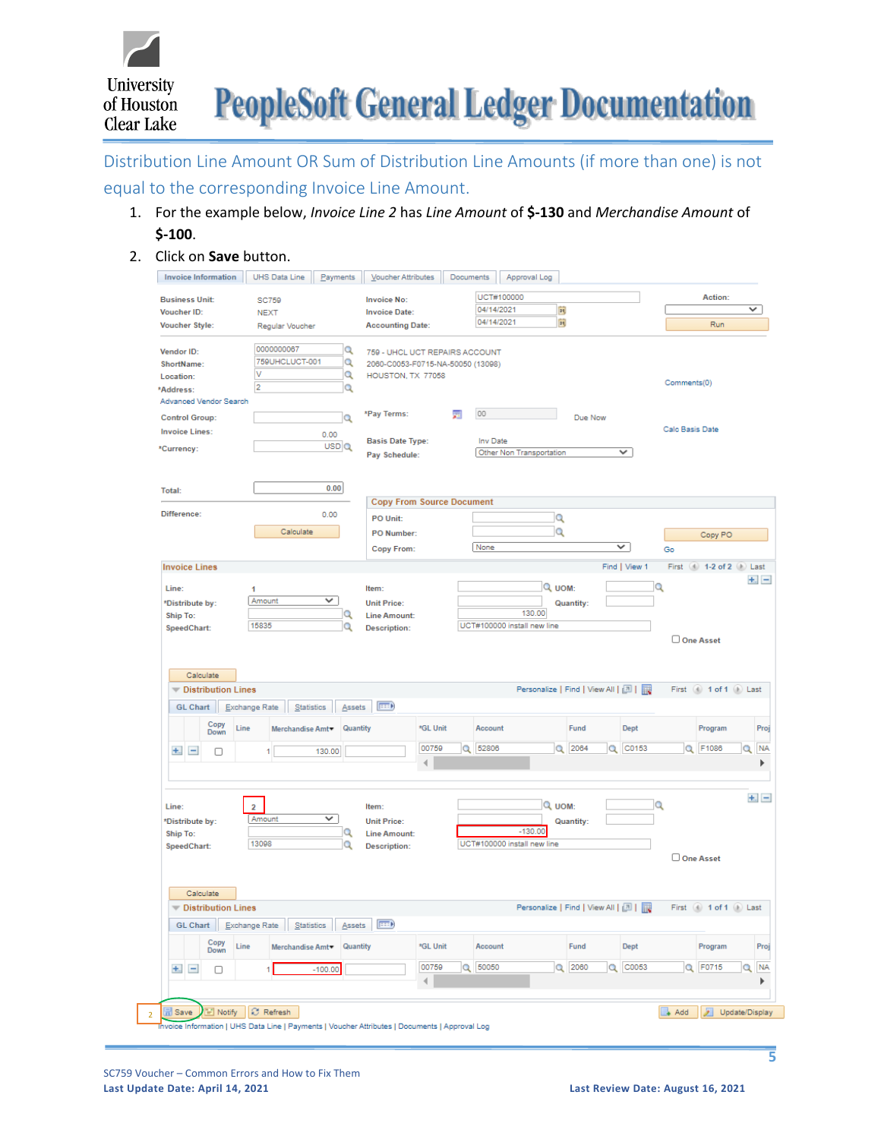

Distribution Line Amount OR Sum of Distribution Line Amounts (if more than one) is not

# equal to the corresponding Invoice Line Amount.

- 1. For the example below, *Invoice Line 2* has *Line Amount* of **\$-130** and *Merchandise Amount* of **\$-100**.
- 2. Click on **Save** button.

| UCT#100000<br>Action:<br><b>Business Unit:</b><br><b>Invoice No:</b><br><b>SC759</b><br>04/14/2021<br>Þij<br>✓<br>Voucher ID:<br><b>Invoice Date:</b><br><b>NEXT</b><br>同<br>04/14/2021<br>Run<br><b>Voucher Style:</b><br><b>Accounting Date:</b><br>Regular Voucher<br>0000000067<br>Q<br>759 - UHCL UCT REPAIRS ACCOUNT<br>759UHCLUCT-001<br>Q<br>2060-C0053-F0715-NA-50050 (13098)<br>٧<br>Q<br>HOUSTON, TX 77058<br>Comments(0)<br>2<br>Q<br>00<br>*Pay Terms:<br>圜<br>$\alpha$<br>Due Now<br>Calc Basis Date<br>0.00<br>Inv Date<br><b>Basis Date Type:</b><br>USD <sub>Q</sub><br>*Currency:<br>Other Non Transportation<br>✓<br>Pay Schedule:<br>0.00<br>Total:<br><b>Copy From Source Document</b><br>0.00<br>Q<br>PO Unit:<br>Calculate<br>Q<br>PO Number:<br>Copy PO<br>None<br>v<br><b>Copy From:</b><br>Go<br>Find   View 1<br>First (4) 1-2 of 2 (1) Last<br>$+1 -$<br>Q UOM:<br>Q<br>Line:<br>Item:<br>1<br>V<br>Amount<br>*Distribute by:<br><b>Unit Price:</b><br>Quantity:<br>130.00<br>Q<br>Ship To:<br><b>Line Amount:</b><br>15835<br>UCT#100000 install new line<br>Q<br>SpeedChart:<br><b>Description:</b><br>One Asset<br>Calculate<br>Personalize   Find   View All   [3]  <br>Distribution Lines<br>First (4) 1 of 1 (1) Last<br><b>Exet</b><br><b>GL Chart</b><br>Exchange Rate<br>Statistics<br>Assets<br>Copy<br>*GL Unit<br>Account<br>Fund<br>Dept<br>Proj<br>Line<br>Merchandise Amt<br>Quantity<br>Program<br>Down<br>00759<br>52806<br>Q 2064<br>$Q$ $CO153$<br>Q F1086<br><b>NA</b><br>$\circ$<br>Q<br>$+$ $-$<br>130.00<br>O<br>1<br>4<br>$+$ . $-$<br>$\alpha$<br>Q UOM:<br>Line:<br>$\overline{a}$<br>Item:<br>V<br>Amount<br><b>Unit Price:</b><br>Quantity:<br>$-130.00$<br>Q<br>Ship To:<br><b>Line Amount:</b><br>UCT#100000 install new line<br>13098<br>Q<br>SpeedChart:<br><b>Description:</b><br>□ One Asset<br>Calculate<br>Personalize   Find   View All   2  <br><b>Distribution Lines</b><br>Шē<br>First (4) 1 of 1 (1) Last<br>$\overline{\phantom{a}}$<br>$\ket{m}$<br>Statistics<br>GL Chart<br>Exchange Rate<br>Assets<br>Copy<br>*GL Unit<br>Fund<br>Proj<br>Line<br>Quantity<br>Account<br>Dept<br>Program<br>Merchandise Amt▼<br>Down<br>Q 50050<br>Q F0715<br>00759<br>Q 2060<br>Q C0053<br><b>NA</b><br>Q<br>$+$ $-$<br>$-100.00$<br>O<br>4<br>Þ<br>Refresh<br>品 Save<br>E Notify<br>$\rightarrow$ Add<br>∞<br>Update/Display<br>Thvoice Information   UHS Data Line   Payments   Voucher Attributes   Documents   Approval Log | <b>Invoice Information</b> | UHS Data Line | Payments | Voucher Attributes | Documents | Approval Log |  |  |  |
|--------------------------------------------------------------------------------------------------------------------------------------------------------------------------------------------------------------------------------------------------------------------------------------------------------------------------------------------------------------------------------------------------------------------------------------------------------------------------------------------------------------------------------------------------------------------------------------------------------------------------------------------------------------------------------------------------------------------------------------------------------------------------------------------------------------------------------------------------------------------------------------------------------------------------------------------------------------------------------------------------------------------------------------------------------------------------------------------------------------------------------------------------------------------------------------------------------------------------------------------------------------------------------------------------------------------------------------------------------------------------------------------------------------------------------------------------------------------------------------------------------------------------------------------------------------------------------------------------------------------------------------------------------------------------------------------------------------------------------------------------------------------------------------------------------------------------------------------------------------------------------------------------------------------------------------------------------------------------------------------------------------------------------------------------------------------------------------------------------------------------------------------------------------------------------------------------------------------------------------------------------------------------------------------------------------------------------------------------------------------------------------------------------------------------------------------------------------------------------------------|----------------------------|---------------|----------|--------------------|-----------|--------------|--|--|--|
|                                                                                                                                                                                                                                                                                                                                                                                                                                                                                                                                                                                                                                                                                                                                                                                                                                                                                                                                                                                                                                                                                                                                                                                                                                                                                                                                                                                                                                                                                                                                                                                                                                                                                                                                                                                                                                                                                                                                                                                                                                                                                                                                                                                                                                                                                                                                                                                                                                                                                            |                            |               |          |                    |           |              |  |  |  |
|                                                                                                                                                                                                                                                                                                                                                                                                                                                                                                                                                                                                                                                                                                                                                                                                                                                                                                                                                                                                                                                                                                                                                                                                                                                                                                                                                                                                                                                                                                                                                                                                                                                                                                                                                                                                                                                                                                                                                                                                                                                                                                                                                                                                                                                                                                                                                                                                                                                                                            |                            |               |          |                    |           |              |  |  |  |
|                                                                                                                                                                                                                                                                                                                                                                                                                                                                                                                                                                                                                                                                                                                                                                                                                                                                                                                                                                                                                                                                                                                                                                                                                                                                                                                                                                                                                                                                                                                                                                                                                                                                                                                                                                                                                                                                                                                                                                                                                                                                                                                                                                                                                                                                                                                                                                                                                                                                                            |                            |               |          |                    |           |              |  |  |  |
|                                                                                                                                                                                                                                                                                                                                                                                                                                                                                                                                                                                                                                                                                                                                                                                                                                                                                                                                                                                                                                                                                                                                                                                                                                                                                                                                                                                                                                                                                                                                                                                                                                                                                                                                                                                                                                                                                                                                                                                                                                                                                                                                                                                                                                                                                                                                                                                                                                                                                            |                            |               |          |                    |           |              |  |  |  |
|                                                                                                                                                                                                                                                                                                                                                                                                                                                                                                                                                                                                                                                                                                                                                                                                                                                                                                                                                                                                                                                                                                                                                                                                                                                                                                                                                                                                                                                                                                                                                                                                                                                                                                                                                                                                                                                                                                                                                                                                                                                                                                                                                                                                                                                                                                                                                                                                                                                                                            | Vendor ID:                 |               |          |                    |           |              |  |  |  |
|                                                                                                                                                                                                                                                                                                                                                                                                                                                                                                                                                                                                                                                                                                                                                                                                                                                                                                                                                                                                                                                                                                                                                                                                                                                                                                                                                                                                                                                                                                                                                                                                                                                                                                                                                                                                                                                                                                                                                                                                                                                                                                                                                                                                                                                                                                                                                                                                                                                                                            | ShortName:                 |               |          |                    |           |              |  |  |  |
|                                                                                                                                                                                                                                                                                                                                                                                                                                                                                                                                                                                                                                                                                                                                                                                                                                                                                                                                                                                                                                                                                                                                                                                                                                                                                                                                                                                                                                                                                                                                                                                                                                                                                                                                                                                                                                                                                                                                                                                                                                                                                                                                                                                                                                                                                                                                                                                                                                                                                            | Location:                  |               |          |                    |           |              |  |  |  |
|                                                                                                                                                                                                                                                                                                                                                                                                                                                                                                                                                                                                                                                                                                                                                                                                                                                                                                                                                                                                                                                                                                                                                                                                                                                                                                                                                                                                                                                                                                                                                                                                                                                                                                                                                                                                                                                                                                                                                                                                                                                                                                                                                                                                                                                                                                                                                                                                                                                                                            | *Address:                  |               |          |                    |           |              |  |  |  |
|                                                                                                                                                                                                                                                                                                                                                                                                                                                                                                                                                                                                                                                                                                                                                                                                                                                                                                                                                                                                                                                                                                                                                                                                                                                                                                                                                                                                                                                                                                                                                                                                                                                                                                                                                                                                                                                                                                                                                                                                                                                                                                                                                                                                                                                                                                                                                                                                                                                                                            | Advanced Vendor Search     |               |          |                    |           |              |  |  |  |
|                                                                                                                                                                                                                                                                                                                                                                                                                                                                                                                                                                                                                                                                                                                                                                                                                                                                                                                                                                                                                                                                                                                                                                                                                                                                                                                                                                                                                                                                                                                                                                                                                                                                                                                                                                                                                                                                                                                                                                                                                                                                                                                                                                                                                                                                                                                                                                                                                                                                                            | <b>Control Group:</b>      |               |          |                    |           |              |  |  |  |
|                                                                                                                                                                                                                                                                                                                                                                                                                                                                                                                                                                                                                                                                                                                                                                                                                                                                                                                                                                                                                                                                                                                                                                                                                                                                                                                                                                                                                                                                                                                                                                                                                                                                                                                                                                                                                                                                                                                                                                                                                                                                                                                                                                                                                                                                                                                                                                                                                                                                                            | <b>Invoice Lines:</b>      |               |          |                    |           |              |  |  |  |
|                                                                                                                                                                                                                                                                                                                                                                                                                                                                                                                                                                                                                                                                                                                                                                                                                                                                                                                                                                                                                                                                                                                                                                                                                                                                                                                                                                                                                                                                                                                                                                                                                                                                                                                                                                                                                                                                                                                                                                                                                                                                                                                                                                                                                                                                                                                                                                                                                                                                                            |                            |               |          |                    |           |              |  |  |  |
|                                                                                                                                                                                                                                                                                                                                                                                                                                                                                                                                                                                                                                                                                                                                                                                                                                                                                                                                                                                                                                                                                                                                                                                                                                                                                                                                                                                                                                                                                                                                                                                                                                                                                                                                                                                                                                                                                                                                                                                                                                                                                                                                                                                                                                                                                                                                                                                                                                                                                            |                            |               |          |                    |           |              |  |  |  |
|                                                                                                                                                                                                                                                                                                                                                                                                                                                                                                                                                                                                                                                                                                                                                                                                                                                                                                                                                                                                                                                                                                                                                                                                                                                                                                                                                                                                                                                                                                                                                                                                                                                                                                                                                                                                                                                                                                                                                                                                                                                                                                                                                                                                                                                                                                                                                                                                                                                                                            |                            |               |          |                    |           |              |  |  |  |
|                                                                                                                                                                                                                                                                                                                                                                                                                                                                                                                                                                                                                                                                                                                                                                                                                                                                                                                                                                                                                                                                                                                                                                                                                                                                                                                                                                                                                                                                                                                                                                                                                                                                                                                                                                                                                                                                                                                                                                                                                                                                                                                                                                                                                                                                                                                                                                                                                                                                                            |                            |               |          |                    |           |              |  |  |  |
|                                                                                                                                                                                                                                                                                                                                                                                                                                                                                                                                                                                                                                                                                                                                                                                                                                                                                                                                                                                                                                                                                                                                                                                                                                                                                                                                                                                                                                                                                                                                                                                                                                                                                                                                                                                                                                                                                                                                                                                                                                                                                                                                                                                                                                                                                                                                                                                                                                                                                            | Difference:                |               |          |                    |           |              |  |  |  |
|                                                                                                                                                                                                                                                                                                                                                                                                                                                                                                                                                                                                                                                                                                                                                                                                                                                                                                                                                                                                                                                                                                                                                                                                                                                                                                                                                                                                                                                                                                                                                                                                                                                                                                                                                                                                                                                                                                                                                                                                                                                                                                                                                                                                                                                                                                                                                                                                                                                                                            |                            |               |          |                    |           |              |  |  |  |
|                                                                                                                                                                                                                                                                                                                                                                                                                                                                                                                                                                                                                                                                                                                                                                                                                                                                                                                                                                                                                                                                                                                                                                                                                                                                                                                                                                                                                                                                                                                                                                                                                                                                                                                                                                                                                                                                                                                                                                                                                                                                                                                                                                                                                                                                                                                                                                                                                                                                                            |                            |               |          |                    |           |              |  |  |  |
|                                                                                                                                                                                                                                                                                                                                                                                                                                                                                                                                                                                                                                                                                                                                                                                                                                                                                                                                                                                                                                                                                                                                                                                                                                                                                                                                                                                                                                                                                                                                                                                                                                                                                                                                                                                                                                                                                                                                                                                                                                                                                                                                                                                                                                                                                                                                                                                                                                                                                            |                            |               |          |                    |           |              |  |  |  |
|                                                                                                                                                                                                                                                                                                                                                                                                                                                                                                                                                                                                                                                                                                                                                                                                                                                                                                                                                                                                                                                                                                                                                                                                                                                                                                                                                                                                                                                                                                                                                                                                                                                                                                                                                                                                                                                                                                                                                                                                                                                                                                                                                                                                                                                                                                                                                                                                                                                                                            | <b>Invoice Lines</b>       |               |          |                    |           |              |  |  |  |
|                                                                                                                                                                                                                                                                                                                                                                                                                                                                                                                                                                                                                                                                                                                                                                                                                                                                                                                                                                                                                                                                                                                                                                                                                                                                                                                                                                                                                                                                                                                                                                                                                                                                                                                                                                                                                                                                                                                                                                                                                                                                                                                                                                                                                                                                                                                                                                                                                                                                                            |                            |               |          |                    |           |              |  |  |  |
|                                                                                                                                                                                                                                                                                                                                                                                                                                                                                                                                                                                                                                                                                                                                                                                                                                                                                                                                                                                                                                                                                                                                                                                                                                                                                                                                                                                                                                                                                                                                                                                                                                                                                                                                                                                                                                                                                                                                                                                                                                                                                                                                                                                                                                                                                                                                                                                                                                                                                            |                            |               |          |                    |           |              |  |  |  |
|                                                                                                                                                                                                                                                                                                                                                                                                                                                                                                                                                                                                                                                                                                                                                                                                                                                                                                                                                                                                                                                                                                                                                                                                                                                                                                                                                                                                                                                                                                                                                                                                                                                                                                                                                                                                                                                                                                                                                                                                                                                                                                                                                                                                                                                                                                                                                                                                                                                                                            |                            |               |          |                    |           |              |  |  |  |
|                                                                                                                                                                                                                                                                                                                                                                                                                                                                                                                                                                                                                                                                                                                                                                                                                                                                                                                                                                                                                                                                                                                                                                                                                                                                                                                                                                                                                                                                                                                                                                                                                                                                                                                                                                                                                                                                                                                                                                                                                                                                                                                                                                                                                                                                                                                                                                                                                                                                                            |                            |               |          |                    |           |              |  |  |  |
|                                                                                                                                                                                                                                                                                                                                                                                                                                                                                                                                                                                                                                                                                                                                                                                                                                                                                                                                                                                                                                                                                                                                                                                                                                                                                                                                                                                                                                                                                                                                                                                                                                                                                                                                                                                                                                                                                                                                                                                                                                                                                                                                                                                                                                                                                                                                                                                                                                                                                            |                            |               |          |                    |           |              |  |  |  |
|                                                                                                                                                                                                                                                                                                                                                                                                                                                                                                                                                                                                                                                                                                                                                                                                                                                                                                                                                                                                                                                                                                                                                                                                                                                                                                                                                                                                                                                                                                                                                                                                                                                                                                                                                                                                                                                                                                                                                                                                                                                                                                                                                                                                                                                                                                                                                                                                                                                                                            |                            |               |          |                    |           |              |  |  |  |
|                                                                                                                                                                                                                                                                                                                                                                                                                                                                                                                                                                                                                                                                                                                                                                                                                                                                                                                                                                                                                                                                                                                                                                                                                                                                                                                                                                                                                                                                                                                                                                                                                                                                                                                                                                                                                                                                                                                                                                                                                                                                                                                                                                                                                                                                                                                                                                                                                                                                                            |                            |               |          |                    |           |              |  |  |  |
|                                                                                                                                                                                                                                                                                                                                                                                                                                                                                                                                                                                                                                                                                                                                                                                                                                                                                                                                                                                                                                                                                                                                                                                                                                                                                                                                                                                                                                                                                                                                                                                                                                                                                                                                                                                                                                                                                                                                                                                                                                                                                                                                                                                                                                                                                                                                                                                                                                                                                            |                            |               |          |                    |           |              |  |  |  |
|                                                                                                                                                                                                                                                                                                                                                                                                                                                                                                                                                                                                                                                                                                                                                                                                                                                                                                                                                                                                                                                                                                                                                                                                                                                                                                                                                                                                                                                                                                                                                                                                                                                                                                                                                                                                                                                                                                                                                                                                                                                                                                                                                                                                                                                                                                                                                                                                                                                                                            |                            |               |          |                    |           |              |  |  |  |
|                                                                                                                                                                                                                                                                                                                                                                                                                                                                                                                                                                                                                                                                                                                                                                                                                                                                                                                                                                                                                                                                                                                                                                                                                                                                                                                                                                                                                                                                                                                                                                                                                                                                                                                                                                                                                                                                                                                                                                                                                                                                                                                                                                                                                                                                                                                                                                                                                                                                                            |                            |               |          |                    |           |              |  |  |  |
|                                                                                                                                                                                                                                                                                                                                                                                                                                                                                                                                                                                                                                                                                                                                                                                                                                                                                                                                                                                                                                                                                                                                                                                                                                                                                                                                                                                                                                                                                                                                                                                                                                                                                                                                                                                                                                                                                                                                                                                                                                                                                                                                                                                                                                                                                                                                                                                                                                                                                            |                            |               |          |                    |           |              |  |  |  |
|                                                                                                                                                                                                                                                                                                                                                                                                                                                                                                                                                                                                                                                                                                                                                                                                                                                                                                                                                                                                                                                                                                                                                                                                                                                                                                                                                                                                                                                                                                                                                                                                                                                                                                                                                                                                                                                                                                                                                                                                                                                                                                                                                                                                                                                                                                                                                                                                                                                                                            | *Distribute by:            |               |          |                    |           |              |  |  |  |
|                                                                                                                                                                                                                                                                                                                                                                                                                                                                                                                                                                                                                                                                                                                                                                                                                                                                                                                                                                                                                                                                                                                                                                                                                                                                                                                                                                                                                                                                                                                                                                                                                                                                                                                                                                                                                                                                                                                                                                                                                                                                                                                                                                                                                                                                                                                                                                                                                                                                                            |                            |               |          |                    |           |              |  |  |  |
|                                                                                                                                                                                                                                                                                                                                                                                                                                                                                                                                                                                                                                                                                                                                                                                                                                                                                                                                                                                                                                                                                                                                                                                                                                                                                                                                                                                                                                                                                                                                                                                                                                                                                                                                                                                                                                                                                                                                                                                                                                                                                                                                                                                                                                                                                                                                                                                                                                                                                            |                            |               |          |                    |           |              |  |  |  |
|                                                                                                                                                                                                                                                                                                                                                                                                                                                                                                                                                                                                                                                                                                                                                                                                                                                                                                                                                                                                                                                                                                                                                                                                                                                                                                                                                                                                                                                                                                                                                                                                                                                                                                                                                                                                                                                                                                                                                                                                                                                                                                                                                                                                                                                                                                                                                                                                                                                                                            |                            |               |          |                    |           |              |  |  |  |
|                                                                                                                                                                                                                                                                                                                                                                                                                                                                                                                                                                                                                                                                                                                                                                                                                                                                                                                                                                                                                                                                                                                                                                                                                                                                                                                                                                                                                                                                                                                                                                                                                                                                                                                                                                                                                                                                                                                                                                                                                                                                                                                                                                                                                                                                                                                                                                                                                                                                                            |                            |               |          |                    |           |              |  |  |  |
|                                                                                                                                                                                                                                                                                                                                                                                                                                                                                                                                                                                                                                                                                                                                                                                                                                                                                                                                                                                                                                                                                                                                                                                                                                                                                                                                                                                                                                                                                                                                                                                                                                                                                                                                                                                                                                                                                                                                                                                                                                                                                                                                                                                                                                                                                                                                                                                                                                                                                            |                            |               |          |                    |           |              |  |  |  |
|                                                                                                                                                                                                                                                                                                                                                                                                                                                                                                                                                                                                                                                                                                                                                                                                                                                                                                                                                                                                                                                                                                                                                                                                                                                                                                                                                                                                                                                                                                                                                                                                                                                                                                                                                                                                                                                                                                                                                                                                                                                                                                                                                                                                                                                                                                                                                                                                                                                                                            |                            |               |          |                    |           |              |  |  |  |
|                                                                                                                                                                                                                                                                                                                                                                                                                                                                                                                                                                                                                                                                                                                                                                                                                                                                                                                                                                                                                                                                                                                                                                                                                                                                                                                                                                                                                                                                                                                                                                                                                                                                                                                                                                                                                                                                                                                                                                                                                                                                                                                                                                                                                                                                                                                                                                                                                                                                                            |                            |               |          |                    |           |              |  |  |  |
|                                                                                                                                                                                                                                                                                                                                                                                                                                                                                                                                                                                                                                                                                                                                                                                                                                                                                                                                                                                                                                                                                                                                                                                                                                                                                                                                                                                                                                                                                                                                                                                                                                                                                                                                                                                                                                                                                                                                                                                                                                                                                                                                                                                                                                                                                                                                                                                                                                                                                            |                            |               |          |                    |           |              |  |  |  |
|                                                                                                                                                                                                                                                                                                                                                                                                                                                                                                                                                                                                                                                                                                                                                                                                                                                                                                                                                                                                                                                                                                                                                                                                                                                                                                                                                                                                                                                                                                                                                                                                                                                                                                                                                                                                                                                                                                                                                                                                                                                                                                                                                                                                                                                                                                                                                                                                                                                                                            |                            |               |          |                    |           |              |  |  |  |
|                                                                                                                                                                                                                                                                                                                                                                                                                                                                                                                                                                                                                                                                                                                                                                                                                                                                                                                                                                                                                                                                                                                                                                                                                                                                                                                                                                                                                                                                                                                                                                                                                                                                                                                                                                                                                                                                                                                                                                                                                                                                                                                                                                                                                                                                                                                                                                                                                                                                                            |                            |               |          |                    |           |              |  |  |  |
|                                                                                                                                                                                                                                                                                                                                                                                                                                                                                                                                                                                                                                                                                                                                                                                                                                                                                                                                                                                                                                                                                                                                                                                                                                                                                                                                                                                                                                                                                                                                                                                                                                                                                                                                                                                                                                                                                                                                                                                                                                                                                                                                                                                                                                                                                                                                                                                                                                                                                            |                            |               |          |                    |           |              |  |  |  |
|                                                                                                                                                                                                                                                                                                                                                                                                                                                                                                                                                                                                                                                                                                                                                                                                                                                                                                                                                                                                                                                                                                                                                                                                                                                                                                                                                                                                                                                                                                                                                                                                                                                                                                                                                                                                                                                                                                                                                                                                                                                                                                                                                                                                                                                                                                                                                                                                                                                                                            |                            |               |          |                    |           |              |  |  |  |
|                                                                                                                                                                                                                                                                                                                                                                                                                                                                                                                                                                                                                                                                                                                                                                                                                                                                                                                                                                                                                                                                                                                                                                                                                                                                                                                                                                                                                                                                                                                                                                                                                                                                                                                                                                                                                                                                                                                                                                                                                                                                                                                                                                                                                                                                                                                                                                                                                                                                                            |                            |               |          |                    |           |              |  |  |  |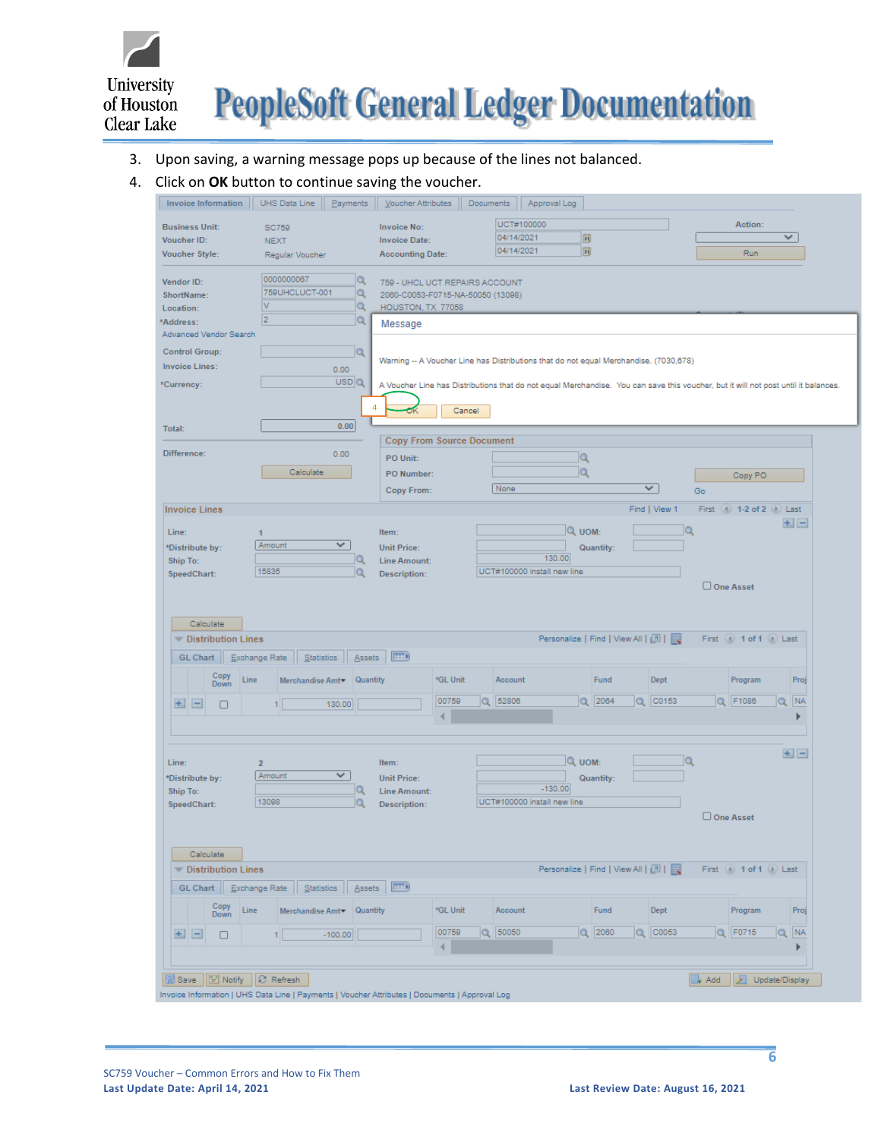

#### 3. Upon saving, a warning message pops up because of the lines not balanced.

#### 4. Click on **OK** button to continue saving the voucher.

|                                                     |                                              | Voucher Attributes                                                  | Documents<br>Approval Log                                                                                                          |                                   |               |                             |                            |
|-----------------------------------------------------|----------------------------------------------|---------------------------------------------------------------------|------------------------------------------------------------------------------------------------------------------------------------|-----------------------------------|---------------|-----------------------------|----------------------------|
| <b>Business Unit:</b>                               | <b>SC759</b>                                 | <b>Invoice No:</b>                                                  | UCT#100000                                                                                                                         |                                   |               | Action:                     |                            |
| Voucher ID:                                         | <b>NEXT</b>                                  | <b>Invoice Date:</b>                                                | 04/14/2021                                                                                                                         | 同                                 |               |                             | ✓                          |
| <b>Voucher Style:</b>                               | Regular Voucher                              | <b>Accounting Date:</b>                                             | 04/14/2021                                                                                                                         | 同                                 |               | Run                         |                            |
| Vendor ID:<br>ShortName:                            | 0000000067<br>Q<br>759UHCLUCT-001<br>Q       | 759 - UHCL UCT REPAIRS ACCOUNT<br>2060-C0053-F0715-NA-50050 (13098) |                                                                                                                                    |                                   |               |                             |                            |
| Location:                                           | V<br>Q                                       | HOUSTON, TX 77058                                                   |                                                                                                                                    |                                   |               |                             |                            |
| *Address:                                           | $\overline{2}$<br>$\alpha$                   | Message                                                             |                                                                                                                                    |                                   |               |                             |                            |
| Advanced Vendor Search                              |                                              |                                                                     |                                                                                                                                    |                                   |               |                             |                            |
| <b>Control Group:</b>                               | Q                                            |                                                                     | Warning -- A Voucher Line has Distributions that do not equal Merchandise. (7030,678)                                              |                                   |               |                             |                            |
| <b>Invoice Lines:</b>                               | 0.00                                         |                                                                     |                                                                                                                                    |                                   |               |                             |                            |
| *Currency:                                          | USD Q                                        |                                                                     | A Voucher Line has Distributions that do not equal Merchandise. You can save this voucher, but it will not post until it balances. |                                   |               |                             |                            |
|                                                     | 4                                            | Cancel                                                              |                                                                                                                                    |                                   |               |                             |                            |
| Total:                                              | 0.00                                         |                                                                     |                                                                                                                                    |                                   |               |                             |                            |
|                                                     |                                              | <b>Copy From Source Document</b>                                    |                                                                                                                                    |                                   |               |                             |                            |
| Difference:                                         | 0.00                                         | PO Unit:                                                            |                                                                                                                                    | Q                                 |               |                             |                            |
|                                                     | Calculate                                    | PO Number:                                                          |                                                                                                                                    | Q                                 |               | Copy PO                     |                            |
|                                                     |                                              | Copy From:                                                          | None                                                                                                                               | $\checkmark$                      | Go            |                             |                            |
|                                                     |                                              |                                                                     |                                                                                                                                    |                                   |               |                             |                            |
| <b>Invoice Lines</b>                                |                                              |                                                                     |                                                                                                                                    |                                   | Find   View 1 | First (4) 1-2 of 2 (1) Last |                            |
| Line:                                               | 1                                            | Item:                                                               |                                                                                                                                    | Q UOM:                            | Q             |                             | $+1$ $-$                   |
| *Distribute by:                                     | V<br>Amount                                  | <b>Unit Price:</b>                                                  |                                                                                                                                    | Quantity:                         |               |                             |                            |
| Ship To:                                            | Q                                            | <b>Line Amount:</b>                                                 | 130.00                                                                                                                             |                                   |               |                             |                            |
| SpeedChart:                                         | 15835<br>Q                                   | <b>Description:</b>                                                 | UCT#100000 install new line                                                                                                        |                                   |               | One Asset                   |                            |
|                                                     |                                              |                                                                     |                                                                                                                                    |                                   |               |                             |                            |
| Calculate                                           |                                              |                                                                     |                                                                                                                                    |                                   |               |                             |                            |
| <b>Distribution Lines</b><br><b>GL Chart</b>        | Exchange Rate<br>Statistics<br><b>Assets</b> | (FEED)                                                              |                                                                                                                                    | Personalize   Find   View All   0 |               | First (4) 1 of 1 (1) Last   |                            |
| Line                                                | Merchandise Amt Quantity                     | *GL Unit                                                            | Account                                                                                                                            | Fund                              | Dept          | Program                     | Proj                       |
| Copy<br>Down                                        |                                              |                                                                     |                                                                                                                                    |                                   |               |                             |                            |
| $+$<br>∩                                            | 130.00<br>11                                 | 00759                                                               | Q 52806                                                                                                                            | $Q$ 2064<br>a                     | CO153         | Q F1086                     | $\alpha$<br>NA             |
|                                                     |                                              |                                                                     |                                                                                                                                    |                                   |               |                             |                            |
|                                                     |                                              |                                                                     |                                                                                                                                    |                                   |               |                             |                            |
|                                                     | $\overline{2}$                               | Item:                                                               |                                                                                                                                    | Q UOM:                            | Q             |                             | $+$ $-$                    |
|                                                     | V<br>Amount                                  | <b>Unit Price:</b>                                                  |                                                                                                                                    | Quantity:                         |               |                             |                            |
|                                                     | Q                                            | <b>Line Amount:</b>                                                 | $-130.00$                                                                                                                          |                                   |               |                             |                            |
|                                                     | 13098                                        | Description:                                                        | UCT#100000 install new line                                                                                                        |                                   |               |                             |                            |
|                                                     |                                              |                                                                     |                                                                                                                                    |                                   |               | One Asset                   |                            |
|                                                     |                                              |                                                                     |                                                                                                                                    |                                   |               |                             |                            |
| Calculate                                           |                                              |                                                                     |                                                                                                                                    |                                   |               |                             |                            |
| Distribution Lines                                  |                                              |                                                                     |                                                                                                                                    | Personalize   Find   View All   2 |               | First (4) 1 of 1 (b) Last   |                            |
| GL Chart                                            | Exchange Rate   Statistics   Assets          | $F \rightarrow 0$                                                   |                                                                                                                                    |                                   |               |                             |                            |
| Copy<br>Line<br>Down                                | Merchandise Amt VQuantity                    | *GL Unit                                                            | Account                                                                                                                            | Fund                              | <b>Dept</b>   | Program                     | Proj                       |
| Line:<br>*Distribute by:<br>Ship To:<br>SpeedChart: |                                              | 00759                                                               | $Q$ 50050                                                                                                                          | $Q$ 2060                          | $Q$ $CO053$   | $Q$   F0715                 | $\parallel$ NA<br>$\alpha$ |
| $\pm$ $\pm$<br>$\Box$                               | $-100.00$<br>1                               | ∢                                                                   |                                                                                                                                    |                                   |               |                             | Þ                          |
|                                                     |                                              |                                                                     |                                                                                                                                    |                                   |               |                             |                            |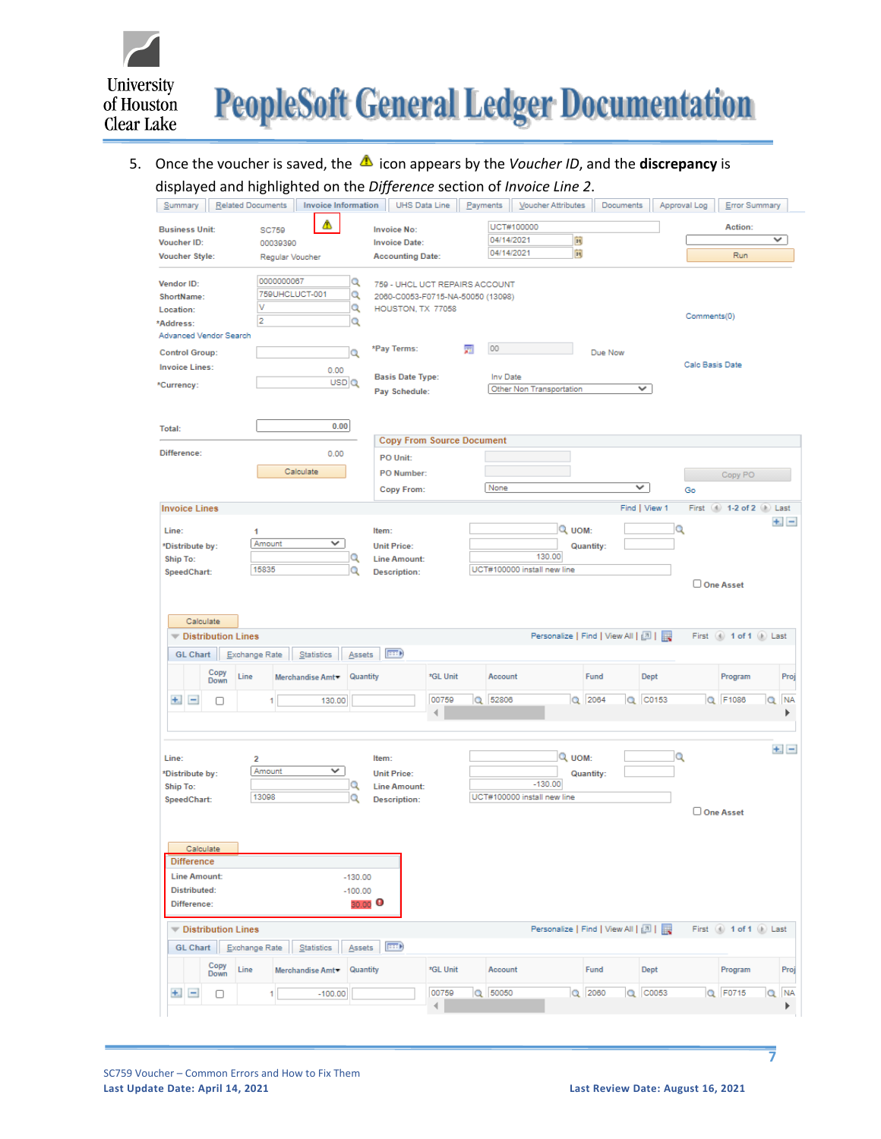

# 5. Once the voucher is saved, the **A** icon appears by the *Voucher ID*, and the **discrepancy** is displayed and highlighted on the *Difference* section of *Invoice Line 2*.

| <b>Related Documents</b><br><b>Invoice Information</b><br>Summary |                                     | UHS Data Line | Payments                          | Voucher Attributes                    | Documents    | Approval Log  |                             | Error Summary |           |
|-------------------------------------------------------------------|-------------------------------------|---------------|-----------------------------------|---------------------------------------|--------------|---------------|-----------------------------|---------------|-----------|
| Δ<br><b>Business Unit:</b>                                        | <b>Invoice No:</b>                  |               | UCT#100000                        |                                       |              |               |                             | Action:       |           |
| <b>SC759</b><br>Voucher ID:<br>00039390                           | <b>Invoice Date:</b>                |               | 04/14/2021                        | n                                     |              |               |                             | ✓             |           |
| <b>Voucher Style:</b><br>Regular Voucher                          | <b>Accounting Date:</b>             |               | 04/14/2021                        | BI.                                   |              |               |                             | Run           |           |
| 0000000067<br>Vendor ID:                                          | Q                                   |               | 759 - UHCL UCT REPAIRS ACCOUNT    |                                       |              |               |                             |               |           |
| 759UHCLUCT-001<br>ShortName:                                      | Q                                   |               | 2060-C0053-F0715-NA-50050 (13098) |                                       |              |               |                             |               |           |
| ٧<br>Location:                                                    | Q<br>HOUSTON, TX 77058              |               |                                   |                                       |              |               |                             |               |           |
| 2<br>*Address:                                                    | Q                                   |               |                                   |                                       |              |               | Comments(0)                 |               |           |
| Advanced Vendor Search                                            |                                     |               |                                   |                                       |              |               |                             |               |           |
| <b>Control Group:</b>                                             | *Pay Terms:<br>Q                    |               | 00<br>圜                           |                                       | Due Now      |               |                             |               |           |
| <b>Invoice Lines:</b><br>0.00                                     |                                     |               |                                   |                                       |              |               | Calc Basis Date             |               |           |
| USDQ<br>*Currency:                                                | <b>Basis Date Type:</b>             |               | Inv Date                          |                                       |              |               |                             |               |           |
|                                                                   | Pay Schedule:                       |               |                                   | Other Non Transportation              |              | v             |                             |               |           |
| 0.00<br>Total:                                                    |                                     |               |                                   |                                       |              |               |                             |               |           |
|                                                                   | <b>Copy From Source Document</b>    |               |                                   |                                       |              |               |                             |               |           |
| Difference:<br>0.00                                               | PO Unit:                            |               |                                   |                                       |              |               |                             |               |           |
| Calculate                                                         | PO Number:                          |               |                                   |                                       |              |               |                             | Copy PO       |           |
|                                                                   | Copy From:                          |               | None                              |                                       | $\checkmark$ |               | Go                          |               |           |
| <b>Invoice Lines</b>                                              |                                     |               |                                   |                                       |              | Find   View 1 | First (4) 1-2 of 2 (1) Last |               |           |
|                                                                   |                                     |               |                                   |                                       |              |               |                             |               | $+$ . $-$ |
| Line:<br>1                                                        | Item:                               |               |                                   | Q UOM:                                |              | Q             |                             |               |           |
| Amount<br>v<br>*Distribute by:                                    | <b>Unit Price:</b>                  |               |                                   |                                       | Quantity:    |               |                             |               |           |
| Ship To:<br>15835                                                 | <b>Line Amount:</b>                 |               |                                   | 130.00<br>UCT#100000 install new line |              |               |                             |               |           |
| SpeedChart:                                                       | <b>Description:</b>                 |               |                                   |                                       |              |               | One Asset                   |               |           |
|                                                                   |                                     |               |                                   |                                       |              |               |                             |               |           |
|                                                                   |                                     |               |                                   |                                       |              |               |                             |               |           |
| Calculate                                                         |                                     |               |                                   |                                       |              |               |                             |               |           |
| <b>Distribution Lines</b>                                         |                                     |               |                                   | Personalize   Find   View All   0   2 |              |               | First (4) 1 of 1 (1) Last   |               |           |
| Statistics<br><b>GL Chart</b><br>Exchange Rate                    | $=0$<br>Assets                      |               |                                   |                                       |              |               |                             |               |           |
| Copy                                                              |                                     |               |                                   |                                       |              |               |                             |               |           |
| Line<br>Merchandise Amt<br>Down                                   | Quantity                            | *GL Unit      | Account                           |                                       | Fund         | <b>Dept</b>   | Program                     |               | Proj      |
| $+$<br>$\qquad \qquad -$<br>130.00<br>Π<br>1                      |                                     | 00759         | Q 52806                           |                                       | Q 2064       | Q C0153       | Q F1086                     | Q             | <b>NA</b> |
|                                                                   |                                     |               |                                   |                                       |              |               |                             |               |           |
|                                                                   |                                     |               |                                   |                                       |              |               |                             |               |           |
|                                                                   |                                     |               |                                   |                                       |              |               |                             |               | $+$ $-$   |
| Line:<br>$\overline{2}$                                           | Item:                               |               |                                   | Q UOM:                                |              | Q             |                             |               |           |
| Amount<br>v<br>*Distribute by:                                    | <b>Unit Price:</b>                  |               |                                   |                                       | Quantity:    |               |                             |               |           |
| Ship To:                                                          | Q<br><b>Line Amount:</b>            |               |                                   | $-130.00$                             |              |               |                             |               |           |
| 13098<br>SpeedChart:                                              | Q<br><b>Description:</b>            |               |                                   | UCT#100000 install new line           |              |               |                             |               |           |
|                                                                   |                                     |               |                                   |                                       |              |               | One Asset                   |               |           |
|                                                                   |                                     |               |                                   |                                       |              |               |                             |               |           |
|                                                                   |                                     |               |                                   |                                       |              |               |                             |               |           |
| <b>Calculate</b>                                                  |                                     |               |                                   |                                       |              |               |                             |               |           |
| Difference                                                        |                                     |               |                                   |                                       |              |               |                             |               |           |
| <b>Line Amount:</b>                                               | $-130.00$                           |               |                                   |                                       |              |               |                             |               |           |
| Distributed:                                                      | $-100.00$                           |               |                                   |                                       |              |               |                             |               |           |
| Difference:                                                       | 30.00 $\bullet$                     |               |                                   |                                       |              |               |                             |               |           |
| <b>Distribution Lines</b>                                         |                                     |               |                                   | Personalize   Find   View All   [7]   |              |               | First (4) 1 of 1 (b) Last   |               |           |
| GL Chart   Exchange Rate<br>Statistics                            | $\vert \pm \pm 1 \rangle$<br>Assets |               |                                   |                                       |              |               |                             |               |           |
| Copy<br>Line<br>Merchandise Amt <sup>*</sup><br>Down              | Quantity                            | *GL Unit      | Account                           |                                       | Fund         | Dept          | Program                     |               | Proj      |
| $+$ .<br>$\equiv$<br>$-100.00$<br>0<br>1                          |                                     | 00759         | Q 50050                           |                                       | Q 2060       | Q C0053       | Q F0715                     |               | Q NA      |

**7**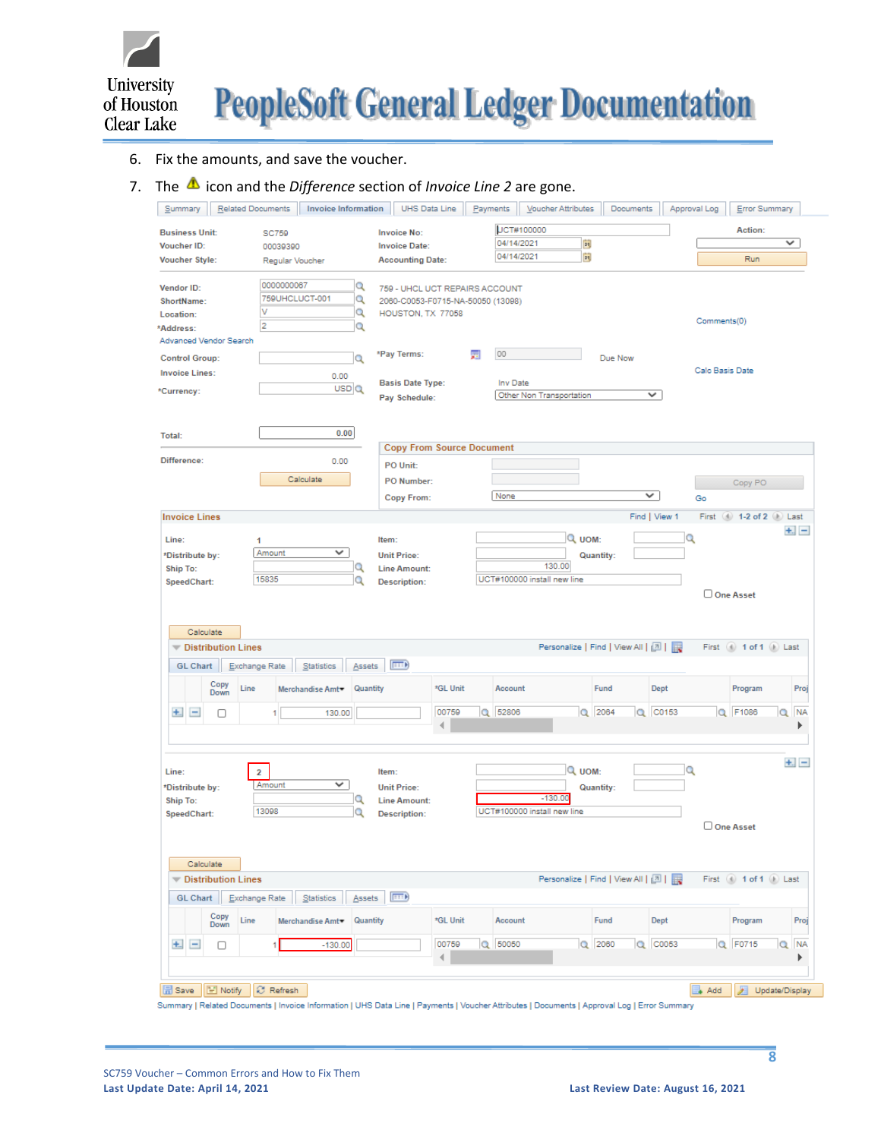

#### 6. Fix the amounts, and save the voucher.

# 7. The  $\triangle$  icon and the *Difference* section of *Invoice Line* 2 are gone.

| Summary                               | Related Documents         |                     | <b>Invoice Information</b>  |                                   | UHS Data Line | Payments |            | Voucher Attributes                    | Documents |               | Approval Log | Error Summary                 |                |           |
|---------------------------------------|---------------------------|---------------------|-----------------------------|-----------------------------------|---------------|----------|------------|---------------------------------------|-----------|---------------|--------------|-------------------------------|----------------|-----------|
| <b>Business Unit:</b>                 |                           | <b>SC759</b>        |                             | <b>Invoice No:</b>                |               |          | UCT#100000 |                                       |           |               |              | Action:                       |                |           |
| Voucher ID:                           |                           | 00039390            |                             | <b>Invoice Date:</b>              |               |          | 04/14/2021 | 同                                     |           |               |              |                               |                | ✓         |
| <b>Voucher Style:</b>                 |                           | Regular Voucher     |                             | <b>Accounting Date:</b>           |               |          | 04/14/2021 | Þij                                   |           |               |              | Run                           |                |           |
|                                       |                           |                     |                             |                                   |               |          |            |                                       |           |               |              |                               |                |           |
| Vendor ID:                            |                           | 0000000067          | Q                           | 759 - UHCL UCT REPAIRS ACCOUNT    |               |          |            |                                       |           |               |              |                               |                |           |
| ShortName:                            |                           | 759UHCLUCT-001      | $\alpha$                    | 2060-C0053-F0715-NA-50050 (13098) |               |          |            |                                       |           |               |              |                               |                |           |
| Location:                             |                           | ν<br>$\overline{2}$ | $\alpha$                    | HOUSTON, TX 77058                 |               |          |            |                                       |           |               | Comments(0)  |                               |                |           |
| *Address:                             |                           |                     | Q                           |                                   |               |          |            |                                       |           |               |              |                               |                |           |
| Advanced Vendor Search                |                           |                     |                             | *Pay Terms:                       |               | 圜        | 00         |                                       |           |               |              |                               |                |           |
| <b>Control Group:</b>                 |                           |                     | Q                           |                                   |               |          |            |                                       | Due Now   |               |              | Calc Basis Date               |                |           |
| <b>Invoice Lines:</b>                 |                           |                     | 0.00                        | <b>Basis Date Type:</b>           |               |          | Inv Date   |                                       |           |               |              |                               |                |           |
| *Currency:                            |                           |                     | USD Q                       | Pay Schedule:                     |               |          |            | Other Non Transportation              |           | ✓             |              |                               |                |           |
|                                       |                           |                     |                             |                                   |               |          |            |                                       |           |               |              |                               |                |           |
|                                       |                           |                     |                             |                                   |               |          |            |                                       |           |               |              |                               |                |           |
| Total:                                |                           |                     | 0.00                        |                                   |               |          |            |                                       |           |               |              |                               |                |           |
|                                       |                           |                     |                             | <b>Copy From Source Document</b>  |               |          |            |                                       |           |               |              |                               |                |           |
| Difference:                           |                           |                     | 0.00                        | PO Unit:                          |               |          |            |                                       |           |               |              |                               |                |           |
|                                       |                           |                     | Calculate                   | PO Number:                        |               |          |            |                                       |           |               |              | Copy PO                       |                |           |
|                                       |                           |                     |                             | <b>Copy From:</b>                 |               |          | None       |                                       |           | v             | Go           |                               |                |           |
| <b>Invoice Lines</b>                  |                           |                     |                             |                                   |               |          |            |                                       |           | Find   View 1 |              | First (4) 1-2 of 2 (1) Last   |                |           |
|                                       |                           |                     |                             |                                   |               |          |            |                                       |           |               |              |                               |                | $+1 -$    |
| Line:                                 |                           | 1                   |                             | Item:                             |               |          |            | Q UOM:                                |           |               | Q            |                               |                |           |
| *Distribute by:                       |                           | Amount              | ✓                           | <b>Unit Price:</b>                |               |          |            |                                       | Quantity: |               |              |                               |                |           |
| Ship To:                              |                           | 15835               | Q                           | <b>Line Amount:</b>               |               |          |            | 130.00<br>UCT#100000 install new line |           |               |              |                               |                |           |
| SpeedChart:                           |                           |                     | Q                           | <b>Description:</b>               |               |          |            |                                       |           |               |              | One Asset                     |                |           |
| Calculate<br><b>GL Chart</b>          | <b>Distribution Lines</b> | Exchange Rate       | Statistics<br>Assets        | $\vert \overline{=}$              |               |          |            | Personalize   Find   View All   0     |           |               |              | First $(4)$ 1 of 1 $(k)$ Last |                |           |
|                                       | Copy<br>Line<br>Down      |                     | Quantity<br>Merchandise Amt |                                   | *GL Unit      |          | Account    |                                       | Fund      | Dept          |              | Program                       |                | Proj      |
| 土<br>$\qquad \qquad \blacksquare$     | □                         | 1                   | 130.00                      |                                   | 00759         |          | Q 52806    |                                       | Q 2064    | $Q$ $CO153$   |              | Q F1086                       | Q              | <b>NA</b> |
|                                       |                           |                     |                             |                                   |               |          |            |                                       |           |               |              |                               |                |           |
|                                       |                           |                     |                             |                                   |               |          |            |                                       |           |               |              |                               |                |           |
|                                       |                           |                     |                             |                                   |               |          |            |                                       |           |               |              |                               |                | $+1 -$    |
| Line:                                 |                           | $\overline{2}$      |                             | Item:                             |               |          |            | Q UOM:                                |           |               | Q            |                               |                |           |
| *Distribute by:                       |                           | Amount              | V                           | <b>Unit Price:</b>                |               |          |            |                                       | Quantity: |               |              |                               |                |           |
| <b>Ship To:</b>                       |                           |                     | Q                           | <b>Line Amount:</b>               |               |          |            | $-130.00$                             |           |               |              |                               |                |           |
| SpeedChart:                           |                           | 13098               | Q                           | <b>Description:</b>               |               |          |            | UCT#100000 install new line           |           |               |              |                               |                |           |
|                                       |                           |                     |                             |                                   |               |          |            |                                       |           |               |              | One Asset                     |                |           |
|                                       |                           |                     |                             |                                   |               |          |            |                                       |           |               |              |                               |                |           |
| Calculate                             |                           |                     |                             |                                   |               |          |            |                                       |           |               |              |                               |                |           |
|                                       | <b>Distribution Lines</b> |                     |                             |                                   |               |          |            | Personalize   Find   View All   0     |           |               |              | First 4 1 of 1 D Last         |                |           |
| <b>GL Chart</b>                       |                           | Exchange Rate       | Statistics<br>Assets        | $\left  \frac{1}{2} \right $      |               |          |            |                                       |           |               |              |                               |                |           |
|                                       | Copy<br>Line              |                     | Quantity<br>Merchandise Amt |                                   | *GL Unit      |          | Account    |                                       | Fund      | Dept          |              | Program                       |                | Proj      |
|                                       | Down                      |                     |                             |                                   |               |          |            |                                       |           |               |              |                               |                |           |
| $+$ .<br>$\qquad \qquad \blacksquare$ | o                         | 1                   | $-130.00$                   |                                   | 00759         |          | Q 50050    |                                       | $Q$ 2060  | $Q$ $CO053$   |              | Q F0715                       |                | Q NA      |
|                                       |                           |                     |                             |                                   | 4             |          |            |                                       |           |               |              |                               |                |           |
|                                       |                           |                     |                             |                                   |               |          |            |                                       |           |               |              |                               |                |           |
|                                       |                           |                     |                             |                                   |               |          |            |                                       |           |               |              |                               |                |           |
| 品 Save                                | E Notify                  | C Refresh           |                             |                                   |               |          |            |                                       |           |               | Add          | л                             | Update/Display |           |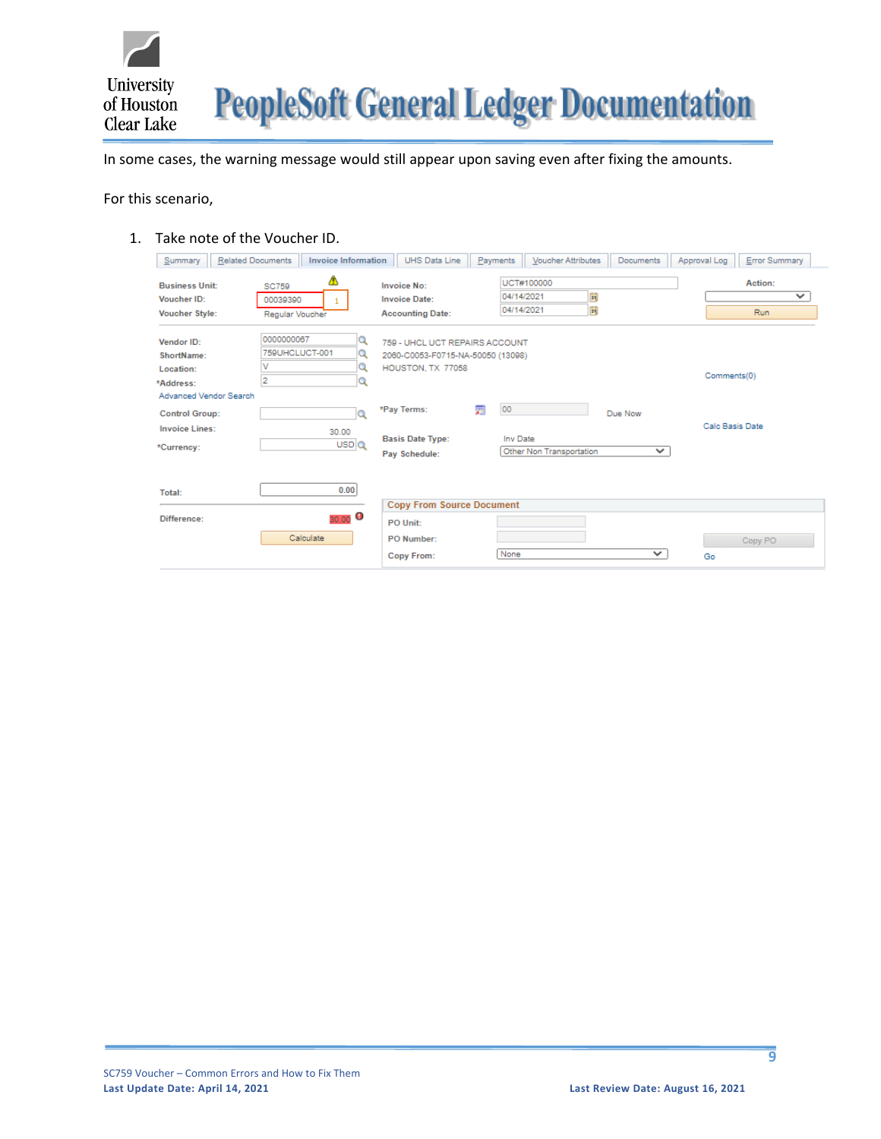

In some cases, the warning message would still appear upon saving even after fixing the amounts.

For this scenario,

#### 1. Take note of the Voucher ID.

| <b>Related Documents</b><br>Summary                                          | <b>Invoice Information</b>                          | <b>UHS Data Line</b>                                                                     | Payments                 | Voucher Attributes       | Documents               | Error Summary<br>Approval Log  |
|------------------------------------------------------------------------------|-----------------------------------------------------|------------------------------------------------------------------------------------------|--------------------------|--------------------------|-------------------------|--------------------------------|
| <b>Business Unit:</b><br>Voucher ID:<br><b>Voucher Style:</b>                | ⚠<br><b>SC759</b><br>00039390<br>Regular Voucher    | <b>Invoice No:</b><br><b>Invoice Date:</b><br><b>Accounting Date:</b>                    | 04/14/2021<br>04/14/2021 | UCT#100000<br>同<br>同     |                         | Action:<br>$\checkmark$<br>Run |
| Vendor ID:<br>ShortName:<br>Location:<br>*Address:<br>Advanced Vendor Search | 0000000067<br>759UHCLUCT-001<br>v<br>$\overline{2}$ | 759 - UHCL UCT REPAIRS ACCOUNT<br>2060-C0053-F0715-NA-50050 (13098)<br>HOUSTON, TX 77058 |                          |                          |                         | Comments(0)                    |
| <b>Control Group:</b><br><b>Invoice Lines:</b><br>*Currency:                 | Q<br>30.00<br>USDQ                                  | *Pay Terms:<br><b>Basis Date Type:</b><br>Pay Schedule:                                  | 00<br>圜<br>Inv Date      | Other Non Transportation | Due Now<br>$\checkmark$ | Calc Basis Date                |
| Total:<br>Difference:                                                        | 0.00<br>30.00 $\Theta$                              | <b>Copy From Source Document</b>                                                         |                          |                          |                         |                                |
|                                                                              | Calculate                                           | PO Unit:<br>PO Number:<br>Copy From:                                                     | None                     |                          | $\checkmark$            | Copy PO<br>Go                  |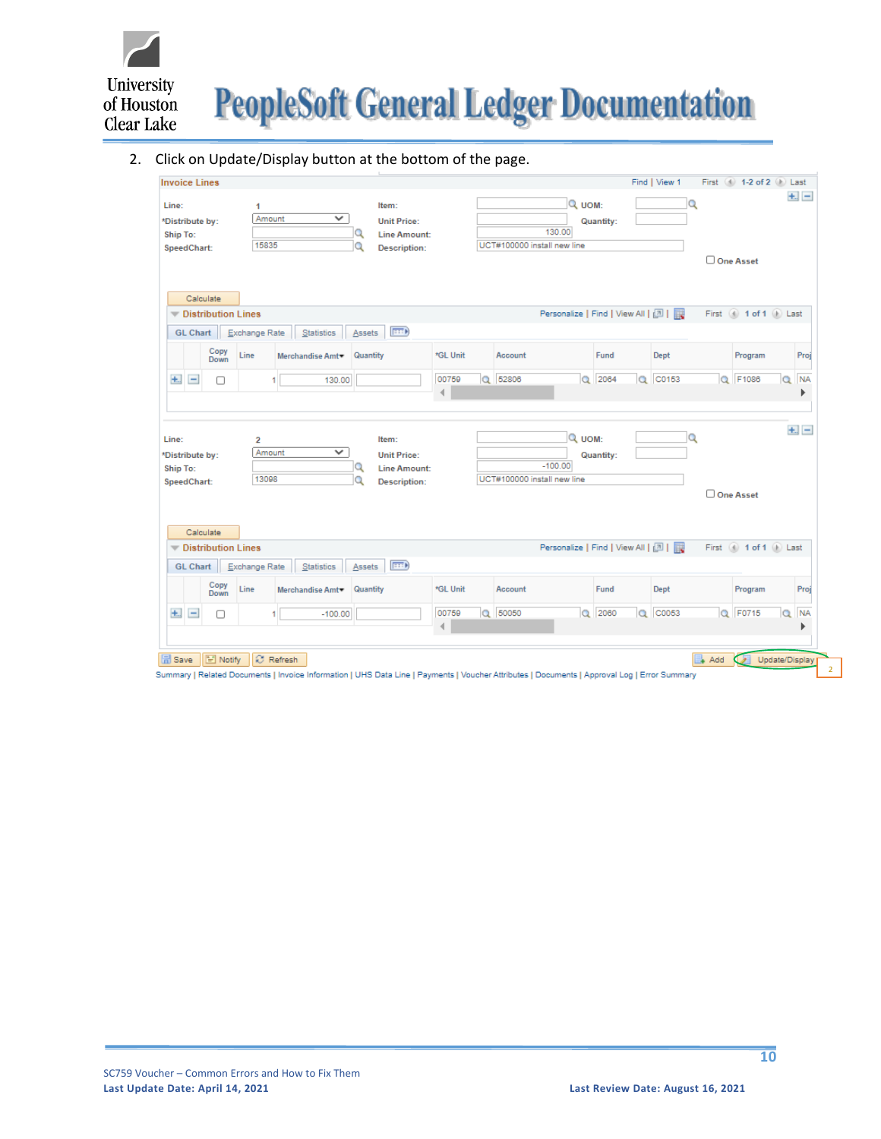

#### 2. Click on Update/Display button at the bottom of the page.

| Line:                    | <b>Invoice Lines</b>           |                           | $\mathbf{1}$                      |                              |          | Item:                                                                     |          |                             | Q UOM:              |                                       | Find   View 1<br>$\Omega$ |          | First 1-2 of 2 D Last |                | $+1$ $-$  |
|--------------------------|--------------------------------|---------------------------|-----------------------------------|------------------------------|----------|---------------------------------------------------------------------------|----------|-----------------------------|---------------------|---------------------------------------|---------------------------|----------|-----------------------|----------------|-----------|
|                          | *Distribute by:                |                           | Amount                            | ✓                            |          | <b>Unit Price:</b>                                                        |          |                             |                     | Quantity:                             |                           |          |                       |                |           |
| <b>Ship To:</b>          |                                |                           |                                   |                              | Q        | <b>Line Amount:</b>                                                       |          |                             | 130.00              |                                       |                           |          |                       |                |           |
|                          | SpeedChart:                    |                           | 15835                             |                              | Q        | <b>Description:</b>                                                       |          | UCT#100000 install new line |                     |                                       |                           |          |                       |                |           |
|                          |                                |                           |                                   |                              |          |                                                                           |          |                             |                     |                                       |                           |          | One Asset             |                |           |
|                          |                                |                           |                                   |                              |          |                                                                           |          |                             |                     |                                       |                           |          |                       |                |           |
|                          | Calculate                      |                           |                                   |                              |          |                                                                           |          |                             |                     |                                       |                           |          |                       |                |           |
|                          |                                | <b>Distribution Lines</b> |                                   |                              |          |                                                                           |          |                             |                     | Personalize   Find   View All   [7]   |                           |          | First 4 1 of 1 D Last |                |           |
|                          | <b>GL Chart</b>                |                           | Exchange Rate                     | Statistics                   | Assets   | $F = D$                                                                   |          |                             |                     |                                       |                           |          |                       |                |           |
|                          |                                | Copy<br><b>Down</b>       | Line                              | Merchandise Amt              | Quantity |                                                                           | *GL Unit | Account                     |                     | Fund                                  | Dept                      |          | Program               |                | Proj      |
| $+$ .                    | $\qquad \qquad -$              | п                         |                                   | 130.00                       |          |                                                                           | 00759    | Q 52806                     | $\alpha$            | 2064<br>$\alpha$                      | C0153                     |          | Q F1086               | $\alpha$       | <b>NA</b> |
|                          |                                |                           |                                   |                              |          |                                                                           | 4        |                             |                     |                                       |                           |          |                       |                | ▶         |
| Line:<br>Ship To:        | *Distribute by:<br>SpeedChart: |                           | $\overline{2}$<br>Amount<br>13098 | ✓                            | Q<br>Q   | Item:<br><b>Unit Price:</b><br><b>Line Amount:</b><br><b>Description:</b> |          | UCT#100000 install new line | Q UOM:<br>$-100.00$ | Quantity:                             | $\alpha$                  |          |                       |                | $+$ $-$   |
|                          |                                |                           |                                   |                              |          |                                                                           |          |                             |                     |                                       |                           |          | One Asset             |                |           |
|                          |                                |                           |                                   |                              |          |                                                                           |          |                             |                     |                                       |                           |          |                       |                |           |
|                          | Calculate                      |                           |                                   |                              |          |                                                                           |          |                             |                     |                                       |                           |          |                       |                |           |
| $\overline{\phantom{a}}$ |                                | <b>Distribution Lines</b> |                                   |                              |          |                                                                           |          |                             |                     | Personalize   Find   View All   2   2 |                           |          | First 1 of 1 D Last   |                |           |
|                          | <b>GL Chart</b>                |                           | Exchange Rate                     | Statistics                   | Assets   | F                                                                         |          |                             |                     |                                       |                           |          |                       |                |           |
|                          |                                | Copy<br><b>Down</b>       | Line                              | Merchandise Amt <sup>*</sup> | Quantity |                                                                           | *GL Unit | Account                     |                     | Fund                                  | <b>Dept</b>               |          | Program               |                | Proj      |
| $+$ .                    | $\equiv$                       | 0                         |                                   | $-100.00$                    |          |                                                                           | 00759    | Q 50050                     |                     | $Q$ 2060<br>$\alpha$                  | C0053                     |          | Q F0715               | $\alpha$       | <b>NA</b> |
|                          |                                |                           |                                   |                              |          |                                                                           |          |                             |                     |                                       |                           |          |                       |                | ь         |
|                          |                                | F Notify                  |                                   |                              |          |                                                                           |          |                             |                     |                                       |                           |          |                       |                |           |
| <b>品</b> Save            |                                |                           |                                   | C Refresh                    |          |                                                                           |          |                             |                     |                                       |                           | ¥<br>Add |                       | Update/Display |           |

Summary | Related Documents | Invoice Information | UHS Data Line | Payments | Voucher Attributes | Documents | Approval Log | Error Summary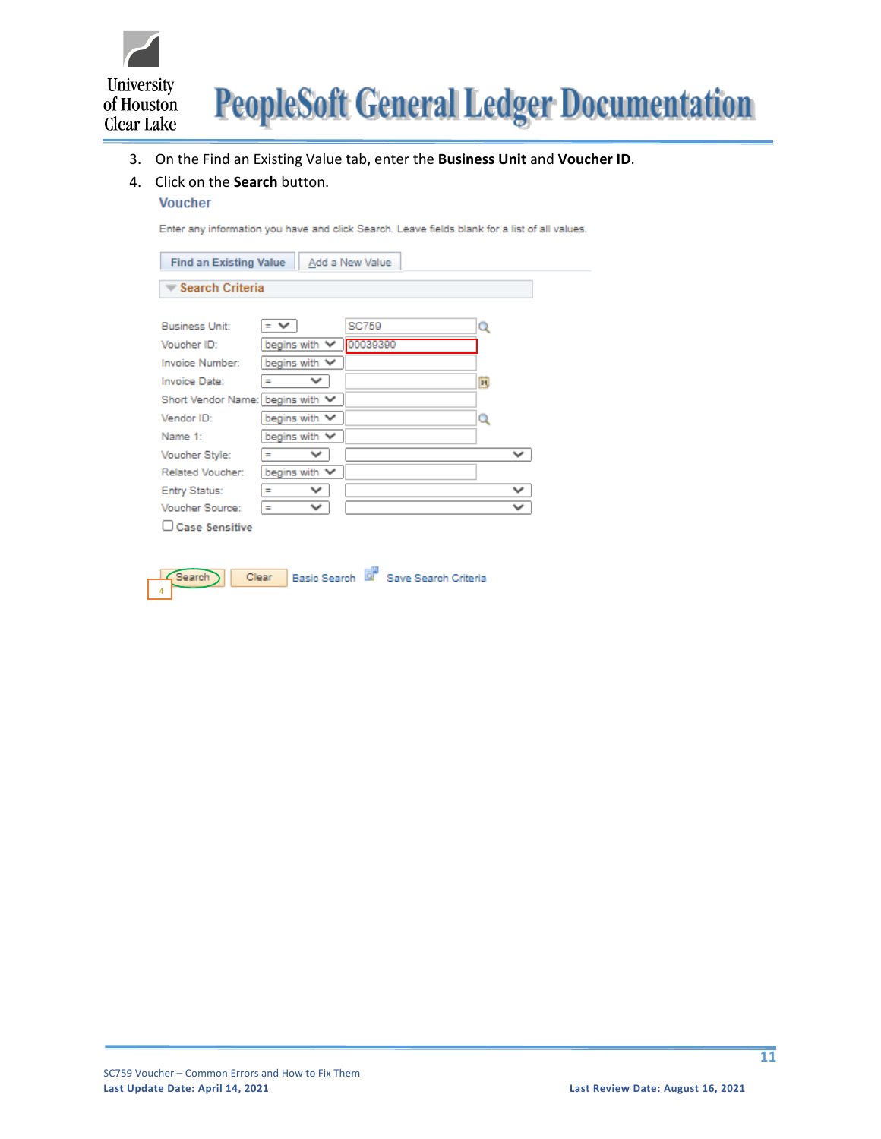

- 3. On the Find an Existing Value tab, enter the **Business Unit** and **Voucher ID**.
- 4. Click on the **Search** button.
	- **Voucher**

Enter any information you have and click Search. Leave fields blank for a list of all values.

| <b>Find an Existing Value</b>    |                          | Add a New Value |              |
|----------------------------------|--------------------------|-----------------|--------------|
| <b>Search Criteria</b>           |                          |                 |              |
|                                  |                          |                 |              |
| Business Unit:                   | - ∨                      | SC759           | Q            |
| Voucher ID:                      | begins with $\vee$       | 00039390        |              |
| Invoice Number:                  | begins with $\vee$       |                 |              |
| Invoice Date:                    | $\checkmark$<br>$\equiv$ |                 | ö1           |
| Short Vendor Name: begins with ∨ |                          |                 |              |
| Vendor ID:                       | begins with $\vee$       |                 | Q            |
| Name 1:                          | begins with $\vee$       |                 |              |
| Voucher Style:                   | $\checkmark$<br>$=$      |                 | v            |
| Related Voucher:                 | begins with $\vee$       |                 |              |
| Entry Status:                    | $\checkmark$<br>$=$      |                 | $\checkmark$ |
| Voucher Source:                  | v<br>$=$                 |                 | $\checkmark$ |
| Case Sensitive                   |                          |                 |              |